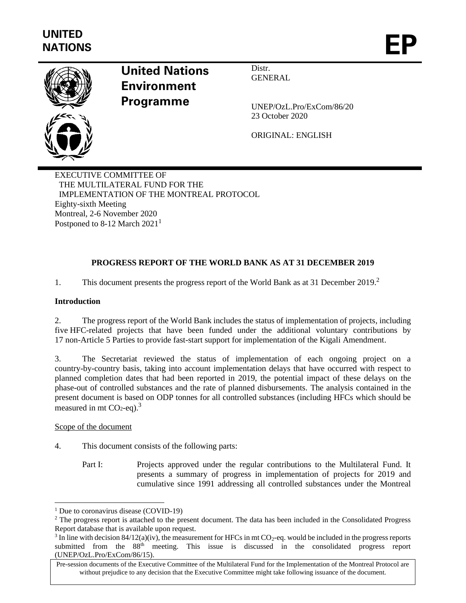

# **United Nations Environment Programme**

Distr. **GENERAL** 

UNEP/OzL.Pro/ExCom/86/20 23 October 2020

ORIGINAL: ENGLISH

EXECUTIVE COMMITTEE OF THE MULTILATERAL FUND FOR THE IMPLEMENTATION OF THE MONTREAL PROTOCOL Eighty-sixth Meeting Montreal, 2-6 November 2020 Postponed to 8-12 March  $2021<sup>1</sup>$ 

# **PROGRESS REPORT OF THE WORLD BANK AS AT 31 DECEMBER 2019**

1. This document presents the progress report of the World Bank as at 31 December 2019.<sup>2</sup>

#### **Introduction**

2. The progress report of the World Bank includes the status of implementation of projects, including five HFC-related projects that have been funded under the additional voluntary contributions by 17 non-Article 5 Parties to provide fast-start support for implementation of the Kigali Amendment.

3. The Secretariat reviewed the status of implementation of each ongoing project on a country-by-country basis, taking into account implementation delays that have occurred with respect to planned completion dates that had been reported in 2019, the potential impact of these delays on the phase-out of controlled substances and the rate of planned disbursements. The analysis contained in the present document is based on ODP tonnes for all controlled substances (including HFCs which should be measured in mt  $CO<sub>2</sub>$ -eq).<sup>3</sup>

#### Scope of the document

- 4. This document consists of the following parts:
	- Part I: Projects approved under the regular contributions to the Multilateral Fund. It presents a summary of progress in implementation of projects for 2019 and cumulative since 1991 addressing all controlled substances under the Montreal

<sup>&</sup>lt;sup>1</sup> Due to coronavirus disease (COVID-19)

<sup>&</sup>lt;sup>2</sup> The progress report is attached to the present document. The data has been included in the Consolidated Progress Report database that is available upon request.

<sup>&</sup>lt;sup>3</sup> In line with decision 84/12(a)(iv), the measurement for HFCs in mt CO<sub>2</sub>-eq. would be included in the progress reports submitted from the 88th meeting. This issue is discussed in the consolidated progress report (UNEP/OzL.Pro/ExCom/86/15).

Pre-session documents of the Executive Committee of the Multilateral Fund for the Implementation of the Montreal Protocol are without prejudice to any decision that the Executive Committee might take following issuance of the document.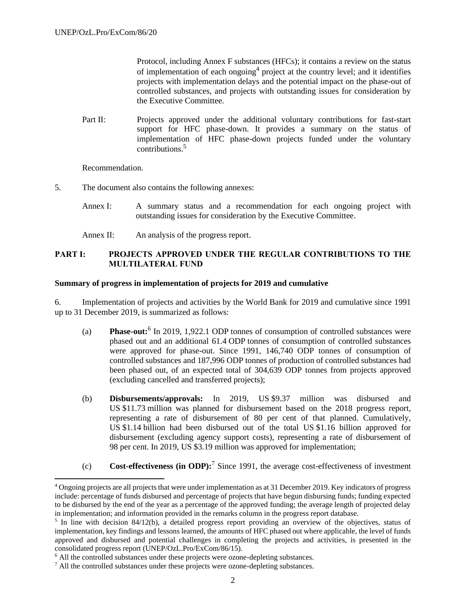Protocol, including Annex F substances (HFCs); it contains a review on the status of implementation of each ongoing<sup>4</sup> project at the country level; and it identifies projects with implementation delays and the potential impact on the phase-out of controlled substances, and projects with outstanding issues for consideration by the Executive Committee.

Part II: Projects approved under the additional voluntary contributions for fast-start support for HFC phase-down. It provides a summary on the status of implementation of HFC phase-down projects funded under the voluntary contributions.<sup>5</sup>

Recommendation.

- 5. The document also contains the following annexes:
	- Annex I: A summary status and a recommendation for each ongoing project with outstanding issues for consideration by the Executive Committee.
	- Annex II: An analysis of the progress report.

### **PART I: PROJECTS APPROVED UNDER THE REGULAR CONTRIBUTIONS TO THE MULTILATERAL FUND**

#### **Summary of progress in implementation of projects for 2019 and cumulative**

6. Implementation of projects and activities by the World Bank for 2019 and cumulative since 1991 up to 31 December 2019, is summarized as follows:

- (a) **Phase-out:**<sup>6</sup> In 2019, 1,922.1 ODP tonnes of consumption of controlled substances were phased out and an additional 61.4 ODP tonnes of consumption of controlled substances were approved for phase-out. Since 1991, 146,740 ODP tonnes of consumption of controlled substances and 187,996 ODP tonnes of production of controlled substances had been phased out, of an expected total of 304,639 ODP tonnes from projects approved (excluding cancelled and transferred projects);
- (b) **Disbursements/approvals:** In 2019, US \$9.37 million was disbursed and US \$11.73 million was planned for disbursement based on the 2018 progress report, representing a rate of disbursement of 80 per cent of that planned. Cumulatively, US \$1.14 billion had been disbursed out of the total US \$1.16 billion approved for disbursement (excluding agency support costs), representing a rate of disbursement of 98 per cent. In 2019, US \$3.19 million was approved for implementation;
- (c) **Cost-effectiveness (in ODP):**<sup>7</sup> Since 1991, the average cost-effectiveness of investment

<sup>4</sup> Ongoing projects are all projects that were under implementation as at 31 December 2019. Key indicators of progress include: percentage of funds disbursed and percentage of projects that have begun disbursing funds; funding expected to be disbursed by the end of the year as a percentage of the approved funding; the average length of projected delay in implementation; and information provided in the remarks column in the progress report database.

<sup>&</sup>lt;sup>5</sup> In line with decision 84/12(b), a detailed progress report providing an overview of the objectives, status of implementation, key findings and lessons learned, the amounts of HFC phased out where applicable, the level of funds approved and disbursed and potential challenges in completing the projects and activities, is presented in the consolidated progress report (UNEP/OzL.Pro/ExCom/86/15).

<sup>&</sup>lt;sup>6</sup> All the controlled substances under these projects were ozone-depleting substances.

<sup>7</sup> All the controlled substances under these projects were ozone-depleting substances.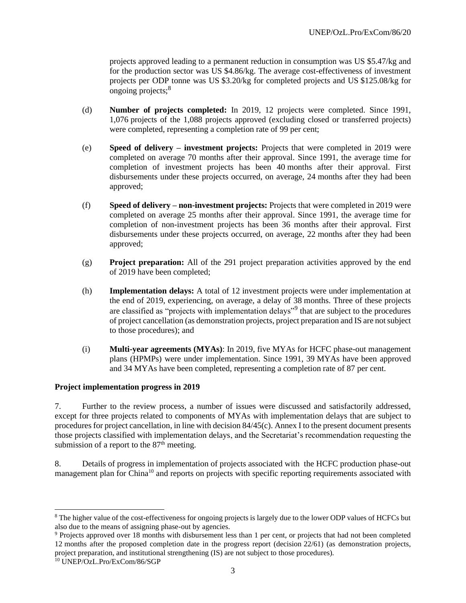projects approved leading to a permanent reduction in consumption was US \$5.47/kg and for the production sector was US \$4.86/kg. The average cost-effectiveness of investment projects per ODP tonne was US \$3.20/kg for completed projects and US \$125.08/kg for ongoing projects;<sup>8</sup>

- (d) **Number of projects completed:** In 2019, 12 projects were completed. Since 1991, 1,076 projects of the 1,088 projects approved (excluding closed or transferred projects) were completed, representing a completion rate of 99 per cent;
- (e) **Speed of delivery – investment projects:** Projects that were completed in 2019 were completed on average 70 months after their approval. Since 1991, the average time for completion of investment projects has been 40 months after their approval. First disbursements under these projects occurred, on average, 24 months after they had been approved;
- (f) **Speed of delivery – non-investment projects:** Projects that were completed in 2019 were completed on average 25 months after their approval. Since 1991, the average time for completion of non-investment projects has been 36 months after their approval. First disbursements under these projects occurred, on average, 22 months after they had been approved;
- (g) **Project preparation:** All of the 291 project preparation activities approved by the end of 2019 have been completed;
- (h) **Implementation delays:** A total of 12 investment projects were under implementation at the end of 2019, experiencing, on average, a delay of 38 months. Three of these projects are classified as "projects with implementation delays"<sup>9</sup> that are subject to the procedures of project cancellation (as demonstration projects, project preparation and IS are not subject to those procedures); and
- (i) **Multi-year agreements (MYAs)**: In 2019, five MYAs for HCFC phase-out management plans (HPMPs) were under implementation. Since 1991, 39 MYAs have been approved and 34 MYAs have been completed, representing a completion rate of 87 per cent.

#### **Project implementation progress in 2019**

7. Further to the review process, a number of issues were discussed and satisfactorily addressed, except for three projects related to components of MYAs with implementation delays that are subject to procedures for project cancellation, in line with decision 84/45(c). Annex I to the present document presents those projects classified with implementation delays, and the Secretariat's recommendation requesting the submission of a report to the  $87<sup>th</sup>$  meeting.

8. Details of progress in implementation of projects associated with the HCFC production phase-out management plan for China<sup>10</sup> and reports on projects with specific reporting requirements associated with

<sup>8</sup> The higher value of the cost-effectiveness for ongoing projects is largely due to the lower ODP values of HCFCs but also due to the means of assigning phase-out by agencies.

<sup>9</sup> Projects approved over 18 months with disbursement less than 1 per cent, or projects that had not been completed 12 months after the proposed completion date in the progress report (decision 22/61) (as demonstration projects, project preparation, and institutional strengthening (IS) are not subject to those procedures).

<sup>10</sup> UNEP/OzL.Pro/ExCom/86/SGP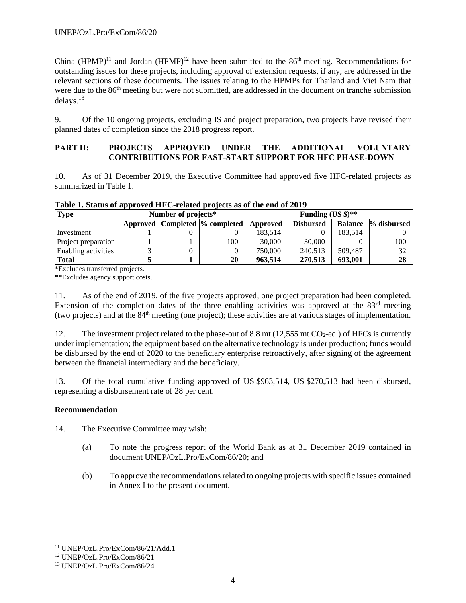China  $(HPMP)^{11}$  and Jordan  $(HPMP)^{12}$  have been submitted to the 86<sup>th</sup> meeting. Recommendations for outstanding issues for these projects, including approval of extension requests, if any, are addressed in the relevant sections of these documents. The issues relating to the HPMPs for Thailand and Viet Nam that were due to the 86<sup>th</sup> meeting but were not submitted, are addressed in the document on tranche submission delays.<sup>13</sup>

9. Of the 10 ongoing projects, excluding IS and project preparation, two projects have revised their planned dates of completion since the 2018 progress report.

## **PART II: PROJECTS APPROVED UNDER THE ADDITIONAL VOLUNTARY CONTRIBUTIONS FOR FAST-START SUPPORT FOR HFC PHASE-DOWN**

10. As of 31 December 2019, the Executive Committee had approved five HFC-related projects as summarized in Table 1.

| <b>Type</b>                | Number of projects* |  |                                   | Funding (US $\frac{1}{2}$ )**                              |         |         |     |  |
|----------------------------|---------------------|--|-----------------------------------|------------------------------------------------------------|---------|---------|-----|--|
|                            |                     |  | Approved   Completed  % completed | <b>Balance</b> % disbursed<br><b>Disbursed</b><br>Approved |         |         |     |  |
| Investment                 |                     |  |                                   | 183.514                                                    |         | 183.514 |     |  |
| Project preparation        |                     |  | 100                               | 30,000                                                     | 30,000  |         | 100 |  |
| <b>Enabling activities</b> |                     |  |                                   | 750,000                                                    | 240.513 | 509.487 |     |  |
| <b>Total</b>               |                     |  | 20                                | 963.514                                                    | 270.513 | 693.001 | 28  |  |

**Table 1. Status of approved HFC-related projects as of the end of 2019**

\*Excludes transferred projects.

**\*\***Excludes agency support costs.

11. As of the end of 2019, of the five projects approved, one project preparation had been completed. Extension of the completion dates of the three enabling activities was approved at the  $83<sup>rd</sup>$  meeting (two projects) and at the 84th meeting (one project); these activities are at various stages of implementation.

12. The investment project related to the phase-out of 8.8 mt (12,555 mt  $CO_2$ -eq.) of HFCs is currently under implementation; the equipment based on the alternative technology is under production; funds would be disbursed by the end of 2020 to the beneficiary enterprise retroactively, after signing of the agreement between the financial intermediary and the beneficiary.

13. Of the total cumulative funding approved of US \$963,514, US \$270,513 had been disbursed, representing a disbursement rate of 28 per cent.

#### **Recommendation**

14. The Executive Committee may wish:

- (a) To note the progress report of the World Bank as at 31 December 2019 contained in document UNEP/OzL.Pro/ExCom/86/20; and
- (b) To approve the recommendations related to ongoing projects with specific issues contained in Annex I to the present document.

<sup>11</sup> UNEP/OzL.Pro/ExCom/86/21/Add.1

<sup>12</sup> UNEP/OzL.Pro/ExCom/86/21

<sup>13</sup> UNEP/OzL.Pro/ExCom/86/24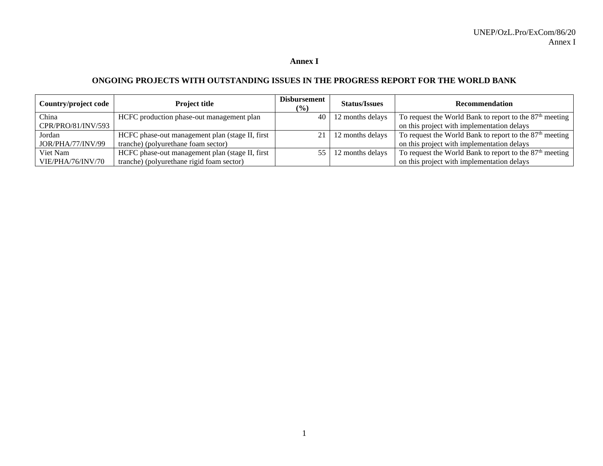### **Annex I**

# **ONGOING PROJECTS WITH OUTSTANDING ISSUES IN THE PROGRESS REPORT FOR THE WORLD BANK**

| Country/project code | <b>Project title</b>                            | Disbursement<br>$\frac{10}{2}$ | <b>Status/Issues</b> | <b>Recommendation</b>                                               |
|----------------------|-------------------------------------------------|--------------------------------|----------------------|---------------------------------------------------------------------|
| China                | HCFC production phase-out management plan       | 40 l                           | 12 months delays     | To request the World Bank to report to the $87th$ meeting           |
| CPR/PRO/81/INV/593   |                                                 |                                |                      | on this project with implementation delays                          |
| Jordan               | HCFC phase-out management plan (stage II, first |                                | 12 months delays     | To request the World Bank to report to the 87 <sup>th</sup> meeting |
| JOR/PHA/77/INV/99    | tranche) (polyurethane foam sector)             |                                |                      | on this project with implementation delays                          |
| Viet Nam             | HCFC phase-out management plan (stage II, first | 55                             | 12 months delays     | To request the World Bank to report to the 87 <sup>th</sup> meeting |
| VIE/PHA/76/INV/70    | tranche) (polyurethane rigid foam sector)       |                                |                      | on this project with implementation delays                          |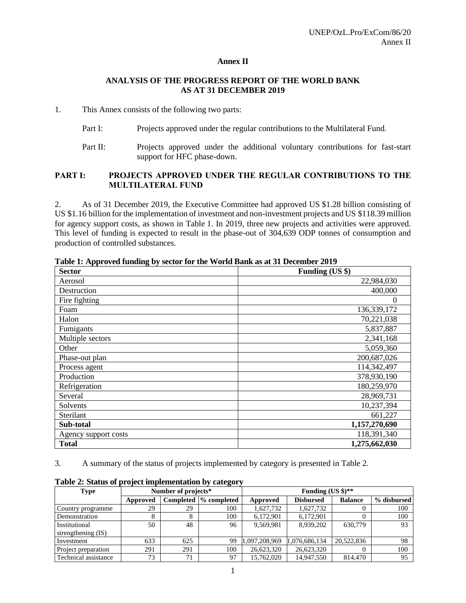#### **Annex II**

#### **ANALYSIS OF THE PROGRESS REPORT OF THE WORLD BANK AS AT 31 DECEMBER 2019**

#### 1. This Annex consists of the following two parts:

- Part I: Projects approved under the regular contributions to the Multilateral Fund.
- Part II: Projects approved under the additional voluntary contributions for fast-start support for HFC phase-down.

#### **PART I: PROJECTS APPROVED UNDER THE REGULAR CONTRIBUTIONS TO THE MULTILATERAL FUND**

2. As of 31 December 2019, the Executive Committee had approved US \$1.28 billion consisting of US \$1.16 billion for the implementation of investment and non-investment projects and US \$118.39 million for agency support costs, as shown in Table 1. In 2019, three new projects and activities were approved. This level of funding is expected to result in the phase-out of 304,639 ODP tonnes of consumption and production of controlled substances.

| <b>Sector</b>        | Funding (US \$) |
|----------------------|-----------------|
| Aerosol              | 22,984,030      |
| Destruction          | 400,000         |
| Fire fighting        | 0               |
| Foam                 | 136,339,172     |
| Halon                | 70,221,038      |
| Fumigants            | 5,837,887       |
| Multiple sectors     | 2,341,168       |
| Other                | 5,059,360       |
| Phase-out plan       | 200,687,026     |
| Process agent        | 114,342,497     |
| Production           | 378,930,190     |
| Refrigeration        | 180,259,970     |
| Several              | 28,969,731      |
| Solvents             | 10,237,394      |
| Sterilant            | 661,227         |
| Sub-total            | 1,157,270,690   |
| Agency support costs | 118,391,340     |
| <b>Total</b>         | 1,275,662,030   |

**Table 1: Approved funding by sector for the World Bank as at 31 December 2019**

3. A summary of the status of projects implemented by category is presented in Table 2.

| Type                 | Number of projects* |     |                        | Funding (US $\frac{1}{2}$ )** |                  |                |             |
|----------------------|---------------------|-----|------------------------|-------------------------------|------------------|----------------|-------------|
|                      | Approved            |     | Completed 1% completed | Approved                      | <b>Disbursed</b> | <b>Balance</b> | % disbursed |
| Country programme    | 29                  | 29  | 100                    | 1,627,732                     | 1,627,732        |                | 100         |
| Demonstration        |                     | 8   | 100                    | 6,172,901                     | 6.172.901        |                | 100         |
| Institutional        | 50                  | 48  | 96                     | 9,569,981                     | 8.939.202        | 630,779        | 93          |
| strengthening (IS)   |                     |     |                        |                               |                  |                |             |
| Investment           | 633                 | 625 | 99                     | 1.097.208.969                 | 1,076,686,134    | 20.522,836     | 98          |
| Project preparation  | 291                 | 291 | 100                    | 26,623,320                    | 26,623,320       |                | 100         |
| Technical assistance | 73                  | 71  | 97                     | 15.762,020                    | 14.947.550       | 814,470        | 95          |

**Table 2: Status of project implementation by category**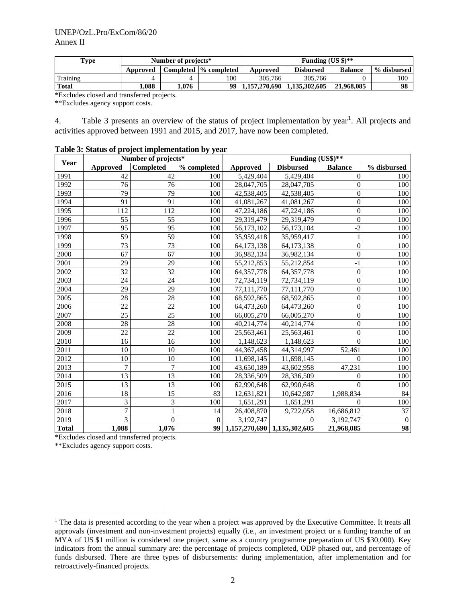| Type         | Number of projects* |     |                        |                             | Funding $(US \text{ } $)\text{**}$ |                |             |  |
|--------------|---------------------|-----|------------------------|-----------------------------|------------------------------------|----------------|-------------|--|
|              | Approved            |     | Completed  % completed | Approved                    | <b>Disbursed</b>                   | <b>Balance</b> | % disbursed |  |
| Training     |                     | 4   | 100                    | 305,766                     | 305.766                            |                | 100         |  |
| <b>Total</b> | .088                | 076 | 99                     | 1.157.270.690 1.135.302.605 |                                    | 21,968,085     | 98          |  |

\*Excludes closed and transferred projects.

\*\*Excludes agency support costs.

4. Table 3 presents an overview of the status of project implementation by year<sup>1</sup>. All projects and activities approved between 1991 and 2015, and 2017, have now been completed.

|  | Table 3: Status of project implementation by year |  |
|--|---------------------------------------------------|--|
|  |                                                   |  |

| Year         |                 | Number of projects* |              | Funding (US\$)**            |                  |                  |              |  |
|--------------|-----------------|---------------------|--------------|-----------------------------|------------------|------------------|--------------|--|
|              | <b>Approved</b> | <b>Completed</b>    | % completed  | Approved                    | <b>Disbursed</b> | <b>Balance</b>   | % disbursed  |  |
| 1991         | 42              | 42                  | 100          | 5,429,404                   | 5,429,404        | $\overline{0}$   | 100          |  |
| 1992         | 76              | 76                  | 100          | 28,047,705                  | 28,047,705       | $\overline{0}$   | 100          |  |
| 1993         | 79              | $\overline{79}$     | 100          | 42,538,405                  | 42,538,405       | $\overline{0}$   | 100          |  |
| 1994         | 91              | 91                  | 100          | 41,081,267                  | 41,081,267       | $\boldsymbol{0}$ | 100          |  |
| 1995         | 112             | 112                 | 100          | 47,224,186                  | 47,224,186       | $\boldsymbol{0}$ | 100          |  |
| 1996         | 55              | 55                  | 100          | 29,319,479                  | 29,319,479       | $\boldsymbol{0}$ | 100          |  |
| 1997         | 95              | 95                  | 100          | 56,173,102                  | 56,173,104       | $-2$             | 100          |  |
| 1998         | 59              | 59                  | 100          | 35,959,418                  | 35,959,417       | $\mathbf{1}$     | 100          |  |
| 1999         | 73              | 73                  | 100          | 64,173,138                  | 64,173,138       | $\overline{0}$   | 100          |  |
| 2000         | 67              | 67                  | 100          | 36,982,134                  | 36,982,134       | $\overline{0}$   | 100          |  |
| 2001         | 29              | 29                  | 100          | 55,212,853                  | 55,212,854       | $-1$             | 100          |  |
| 2002         | 32              | 32                  | 100          | 64, 357, 778                | 64, 357, 778     | $\boldsymbol{0}$ | 100          |  |
| 2003         | 24              | 24                  | 100          | 72,734,119                  | 72,734,119       | $\boldsymbol{0}$ | 100          |  |
| 2004         | $\overline{29}$ | 29                  | 100          | 77,111,770                  | 77,111,770       | $\mathbf{0}$     | 100          |  |
| 2005         | 28              | 28                  | 100          | 68,592,865                  | 68,592,865       | $\overline{0}$   | 100          |  |
| 2006         | 22              | 22                  | 100          | 64,473,260                  | 64,473,260       | $\boldsymbol{0}$ | 100          |  |
| 2007         | 25              | 25                  | 100          | 66,005,270                  | 66,005,270       | $\boldsymbol{0}$ | 100          |  |
| 2008         | 28              | 28                  | 100          | 40,214,774                  | 40,214,774       | $\boldsymbol{0}$ | 100          |  |
| 2009         | 22              | 22                  | 100          | 25,563,461                  | 25,563,461       | $\overline{0}$   | 100          |  |
| 2010         | 16              | 16                  | 100          | 1,148,623                   | 1,148,623        | $\theta$         | 100          |  |
| 2011         | 10              | 10                  | 100          | 44,367,458                  | 44,314,997       | 52,461           | 100          |  |
| 2012         | 10              | 10                  | 100          | 11,698,145                  | 11,698,145       | $\Omega$         | 100          |  |
| 2013         | 7               | 7                   | 100          | 43,650,189                  | 43,602,958       | 47,231           | 100          |  |
| 2014         | 13              | 13                  | 100          | 28,336,509                  | 28,336,509       | $\overline{0}$   | 100          |  |
| 2015         | 13              | 13                  | 100          | 62,990,648                  | 62,990,648       | $\theta$         | 100          |  |
| 2016         | 18              | 15                  | 83           | 12,631,821                  | 10,642,987       | 1,988,834        | 84           |  |
| 2017         | 3               | 3                   | 100          | 1,651,291                   | 1,651,291        | $\Omega$         | 100          |  |
| 2018         | $\overline{7}$  | $\mathbf{1}$        | 14           | 26,408,870                  | 9,722,058        | 16,686,812       | 37           |  |
| 2019         | 3               | $\overline{0}$      | $\mathbf{0}$ | 3,192,747                   | $\Omega$         | 3,192,747        | $\mathbf{0}$ |  |
| <b>Total</b> | 1,088           | 1,076               | 99           | 1,157,270,690 1,135,302,605 |                  | 21,968,085       | 98           |  |

\*Excludes closed and transferred projects.

\*\*Excludes agency support costs.

<sup>&</sup>lt;sup>1</sup> The data is presented according to the year when a project was approved by the Executive Committee. It treats all approvals (investment and non-investment projects) equally (i.e., an investment project or a funding tranche of an MYA of US \$1 million is considered one project, same as a country programme preparation of US \$30,000). Key indicators from the annual summary are: the percentage of projects completed, ODP phased out, and percentage of funds disbursed. There are three types of disbursements: during implementation, after implementation and for retroactively-financed projects.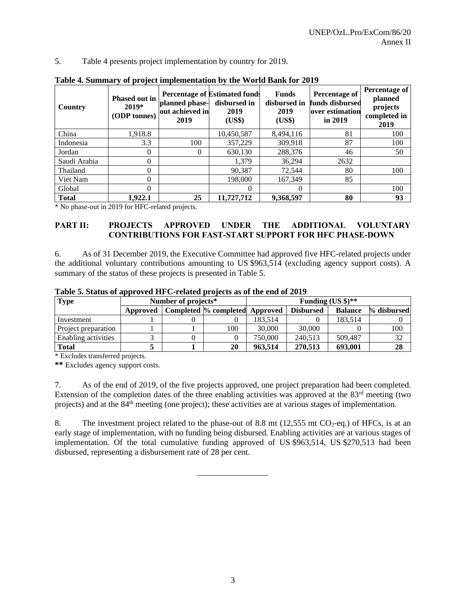5. Table 4 presents project implementation by country for 2019.

| Country      | <b>Phased out in</b><br>$2019*$<br>(ODP tonnes) | planned phase-<br>out achieved in<br>2019 | <b>Percentage of Estimated funds</b><br>disbursed in<br>2019<br>(US\$) | <b>Funds</b><br>disbursed in<br>2019<br>(US\$) | Percentage of<br>funds disbursed<br>over estimation<br>in $2019$ | Percentage of<br>planned<br>projects<br>completed in<br>2019 |
|--------------|-------------------------------------------------|-------------------------------------------|------------------------------------------------------------------------|------------------------------------------------|------------------------------------------------------------------|--------------------------------------------------------------|
| China        | 1,918.8                                         |                                           | 10,450,587                                                             | 8,494,116                                      | 81                                                               | 100                                                          |
| Indonesia    | 3.3                                             | 100                                       | 357,229                                                                | 309,918                                        | 87                                                               | 100                                                          |
| Jordan       | $\Omega$                                        | 0                                         | 630,130                                                                | 288,376                                        | 46                                                               | 50                                                           |
| Saudi Arabia | 0                                               |                                           | 1.379                                                                  | 36,294                                         | 2632                                                             |                                                              |
| Thailand     | 0                                               |                                           | 90.387                                                                 | 72,544                                         | 80                                                               | 100                                                          |
| Viet Nam     | 0                                               |                                           | 198,000                                                                | 167,349                                        | 85                                                               |                                                              |
| Global       | 0                                               |                                           | $\Omega$                                                               | 0                                              |                                                                  | 100                                                          |
| <b>Total</b> | 1.922.1                                         | 25                                        | 11,727,712                                                             | 9,368,597                                      | 80                                                               | 93                                                           |

**Table 4. Summary of project implementation by the World Bank for 2019**

\* No phase-out in 2019 for HFC-related projects.

## **PART II: PROJECTS APPROVED UNDER THE ADDITIONAL VOLUNTARY CONTRIBUTIONS FOR FAST-START SUPPORT FOR HFC PHASE-DOWN**

6. As of 31 December 2019, the Executive Committee had approved five HFC-related projects under the additional voluntary contributions amounting to US \$963,514 (excluding agency support costs). A summary of the status of these projects is presented in Table 5.

| Table of blands of approved TH C related projects as or the end of 2017 |                     |  |     |                                                                                     |                               |         |     |  |
|-------------------------------------------------------------------------|---------------------|--|-----|-------------------------------------------------------------------------------------|-------------------------------|---------|-----|--|
| <b>Type</b>                                                             | Number of projects* |  |     |                                                                                     | Funding (US $\frac{1}{2}$ )** |         |     |  |
|                                                                         | Approved            |  |     | % disbursed<br>Completed % completed Approved<br><b>Disbursed</b><br><b>Balance</b> |                               |         |     |  |
| Investment                                                              |                     |  |     | 183.514                                                                             |                               | 183.514 |     |  |
| Project preparation                                                     |                     |  | 100 | 30,000                                                                              | 30,000                        |         | 100 |  |
| Enabling activities                                                     |                     |  |     | 750,000                                                                             | 240,513                       | 509.487 | 32  |  |
| <b>Total</b>                                                            |                     |  | 20  | 963.514                                                                             | 270,513                       | 693,001 | 28  |  |

**Table 5. Status of approved HFC-related projects as of the end of 2019**

\* Excludes transferred projects.

**\*\*** Excludes agency support costs.

7. As of the end of 2019, of the five projects approved, one project preparation had been completed. Extension of the completion dates of the three enabling activities was approved at the  $83<sup>rd</sup>$  meeting (two projects) and at the 84th meeting (one project); these activities are at various stages of implementation.

8. The investment project related to the phase-out of 8.8 mt  $(12,555 \text{ mt } CO_2\text{-eq.})$  of HFCs, is at an early stage of implementation, with no funding being disbursed. Enabling activities are at various stages of implementation. Of the total cumulative funding approved of US \$963,514, US \$270,513 had been disbursed, representing a disbursement rate of 28 per cent.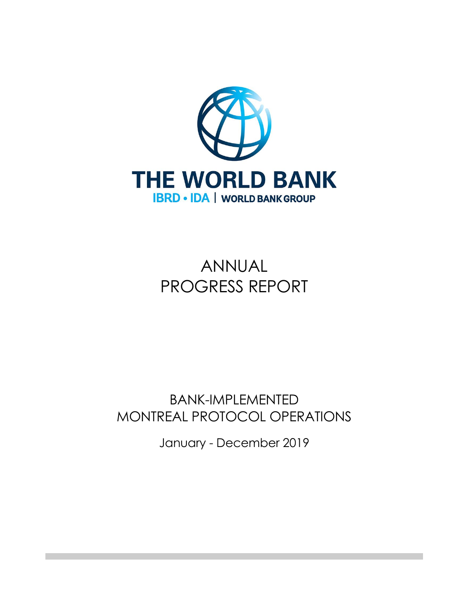

# ANNUAL PROGRESS REPORT

# BANK-IMPLEMENTED MONTREAL PROTOCOL OPERATIONS

January - December 2019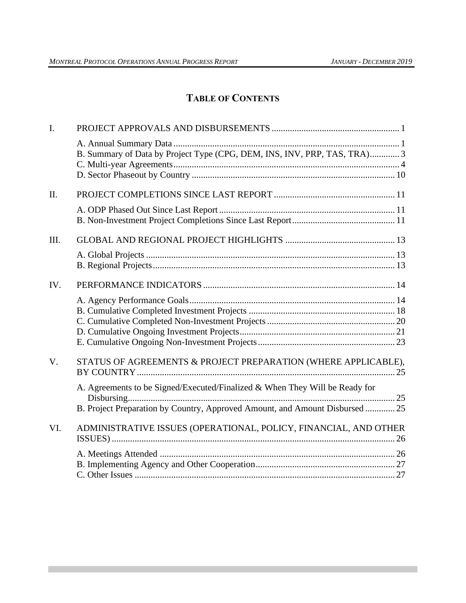# **TABLE OF CONTENTS**

| B. Summary of Data by Project Type (CPG, DEM, INS, INV, PRP, TAS, TRA) 3<br>STATUS OF AGREEMENTS & PROJECT PREPARATION (WHERE APPLICABLE),<br>A. Agreements to be Signed/Executed/Finalized & When They Will be Ready for<br>B. Project Preparation by Country, Approved Amount, and Amount Disbursed  25<br>ADMINISTRATIVE ISSUES (OPERATIONAL, POLICY, FINANCIAL, AND OTHER |
|-------------------------------------------------------------------------------------------------------------------------------------------------------------------------------------------------------------------------------------------------------------------------------------------------------------------------------------------------------------------------------|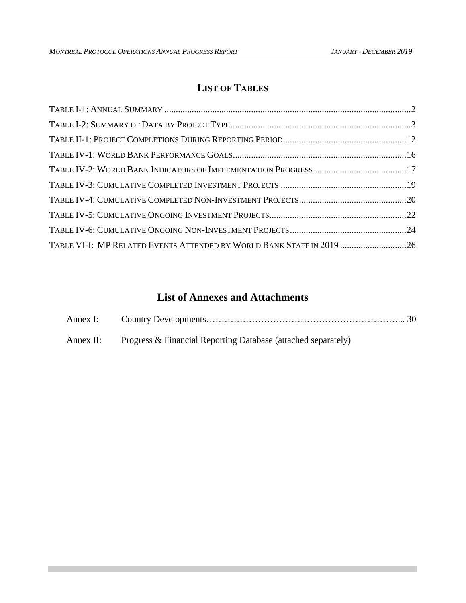# **LIST OF TABLES**

| TABLE VI-I: MP RELATED EVENTS ATTENDED BY WORLD BANK STAFF IN 2019 26 |  |
|-----------------------------------------------------------------------|--|

# **List of Annexes and Attachments**

| Annex II: Progress & Financial Reporting Database (attached separately) |
|-------------------------------------------------------------------------|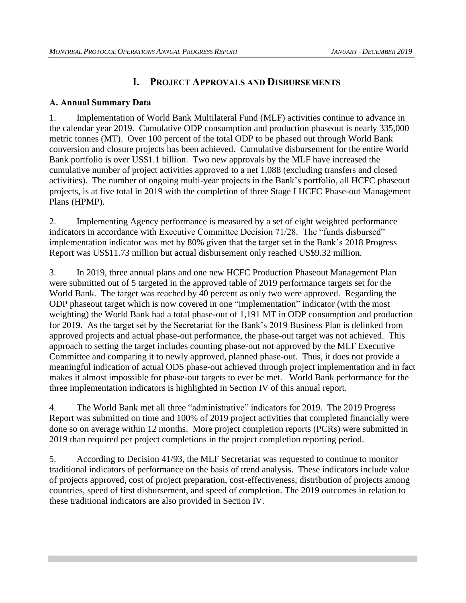# **I. PROJECT APPROVALS AND DISBURSEMENTS**

# <span id="page-13-1"></span><span id="page-13-0"></span>**A. Annual Summary Data**

1. Implementation of World Bank Multilateral Fund (MLF) activities continue to advance in the calendar year 2019. Cumulative ODP consumption and production phaseout is nearly 335,000 metric tonnes (MT). Over 100 percent of the total ODP to be phased out through World Bank conversion and closure projects has been achieved. Cumulative disbursement for the entire World Bank portfolio is over US\$1.1 billion. Two new approvals by the MLF have increased the cumulative number of project activities approved to a net 1,088 (excluding transfers and closed activities). The number of ongoing multi-year projects in the Bank's portfolio, all HCFC phaseout projects, is at five total in 2019 with the completion of three Stage I HCFC Phase-out Management Plans (HPMP).

2. Implementing Agency performance is measured by a set of eight weighted performance indicators in accordance with Executive Committee Decision 71/28. The "funds disbursed" implementation indicator was met by 80% given that the target set in the Bank's 2018 Progress Report was US\$11.73 million but actual disbursement only reached US\$9.32 million.

3. In 2019, three annual plans and one new HCFC Production Phaseout Management Plan were submitted out of 5 targeted in the approved table of 2019 performance targets set for the World Bank. The target was reached by 40 percent as only two were approved.Regarding the ODP phaseout target which is now covered in one "implementation" indicator (with the most weighting) the World Bank had a total phase-out of 1,191 MT in ODP consumption and production for 2019.As the target set by the Secretariat for the Bank's 2019 Business Plan is delinked from approved projects and actual phase-out performance, the phase-out target was not achieved. This approach to setting the target includes counting phase-out not approved by the MLF Executive Committee and comparing it to newly approved, planned phase-out. Thus, it does not provide a meaningful indication of actual ODS phase-out achieved through project implementation and in fact makes it almost impossible for phase-out targets to ever be met. World Bank performance for the three implementation indicators is highlighted in Section IV of this annual report.

4. The World Bank met all three "administrative" indicators for 2019. The 2019 Progress Report was submitted on time and 100% of 2019 project activities that completed financially were done so on average within 12 months. More project completion reports (PCRs) were submitted in 2019 than required per project completions in the project completion reporting period.

5. According to Decision 41/93, the MLF Secretariat was requested to continue to monitor traditional indicators of performance on the basis of trend analysis. These indicators include value of projects approved, cost of project preparation, cost-effectiveness, distribution of projects among countries, speed of first disbursement, and speed of completion. The 2019 outcomes in relation to these traditional indicators are also provided in Section IV.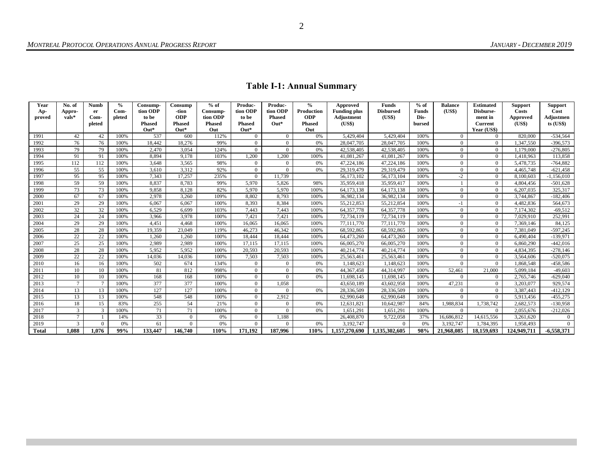<span id="page-14-0"></span>

| Year<br>Ap-  | No. of<br>Appro- | <b>Numb</b><br>er | $\frac{6}{6}$<br>Com- | Consump-<br>tion ODP | Consump<br>-tion | $%$ of<br>Consump- | Produc-<br>tion ODP | Produc-<br>tion ODP | $\frac{0}{0}$<br>Production | Approved<br><b>Funding plus</b> | <b>Funds</b><br><b>Disbursed</b> | $%$ of<br><b>Funds</b> | <b>Balance</b><br>(US\$) | <b>Estimated</b><br>Disburse- | <b>Support</b><br><b>Costs</b> | <b>Support</b><br>Cost |
|--------------|------------------|-------------------|-----------------------|----------------------|------------------|--------------------|---------------------|---------------------|-----------------------------|---------------------------------|----------------------------------|------------------------|--------------------------|-------------------------------|--------------------------------|------------------------|
| proved       | $vals^*$         | Com-              | pleted                | to be                | <b>ODP</b>       | tion ODP           | to be               | <b>Phased</b>       | <b>ODP</b>                  | Adjustment                      | (US\$)                           | Dis-                   |                          | ment in                       | Approved                       | Adjustmen              |
|              |                  | pleted            |                       | <b>Phased</b>        | <b>Phased</b>    | <b>Phased</b>      | <b>Phased</b>       | $Out*$              | <b>Phased</b>               | (US\$)                          |                                  | bursed                 |                          | <b>Current</b>                | (US\$)                         | $ts$ (US\$)            |
|              |                  |                   |                       | $Out*$               | $Out*$           | Out                | $Out*$              |                     | Out                         |                                 |                                  |                        |                          | Year (US\$)                   |                                |                        |
| 1991         | 42               | 42                | 100%                  | 537                  | 600              | 112%               | $\overline{0}$      | $\overline{0}$      | 0%                          | 5,429,404                       | 5,429,404                        | 100%                   | $\overline{0}$           | $\overline{0}$                | 820,000                        | $-534,564$             |
| 1992         | 76               | 76                | 100%                  | 18,442               | 18,276           | 99%                | $\theta$            | $\Omega$            | 0%                          | 28,047,705                      | 28,047,705                       | 100%                   | $\Omega$                 | $\theta$                      | 1,347,550                      | $-396,573$             |
| 1993         | 79               | 79                | 100%                  | 2,470                | 3,054            | 124%               | $\theta$            | $\Omega$            | 0%                          | 42,538,405                      | 42,538,405                       | 100%                   | $\overline{0}$           | $\overline{0}$                | 1,179,000                      | $-276,805$             |
| 1994         | 91               | 91                | 100%                  | 8,894                | 9,178            | 103%               | 1,200               | 1,200               | 100%                        | 41,081,267                      | 41,081,267                       | 100%                   | $\overline{0}$           | $\theta$                      | 1,418,963                      | 113,858                |
| 1995         | 112              | 112               | 100%                  | 3,648                | 3,565            | 98%                | $\Omega$            | $\theta$            | 0%                          | 47,224,186                      | 47,224,186                       | 100%                   | $\Omega$                 | $\theta$                      | 5,478,735                      | $-764,882$             |
| 1996         | 55               | 55                | 100%                  | 3,610                | 3,312            | 92%                | $\overline{0}$      | $\Omega$            | 0%                          | 29,319,479                      | 29,319,479                       | 100%                   | $\overline{0}$           | $\overline{0}$                | 4.465.748                      | $-621,458$             |
| 1997         | 95               | 95                | 100%                  | 7.343                | 17.257           | 235%               | $\overline{0}$      | 11,739              |                             | 56,173,102                      | 56,173,104                       | 100%                   | $-2$                     | $\overline{0}$                | 8.100.603                      | ,156,010               |
| 1998         | 59               | 59                | 100%                  | 8,837                | 8,783            | 99%                | 5,970               | 5,826               | 98%                         | 35,959,418                      | 35,959,417                       | 100%                   |                          | $\theta$                      | 4,804,456                      | $-501,628$             |
| 1999         | 73               | 73                | 100%                  | 9.858                | 8,128            | 82%                | 5,970               | 5,970               | 100%                        | 64,173,138                      | 64,173,138                       | 100%                   | $\mathbf{0}$             | $\overline{0}$                | 6.207.035                      | 325,317                |
| 2000         | 67               | 67                | 100%                  | 2,978                | 3,260            | 109%               | 8,802               | 8.793               | 100%                        | 36,982,134                      | 36,982,134                       | 100%                   | $\overline{0}$           | $\overline{0}$                | 3,744,867                      | $-182,406$             |
| 2001         | 29               | 29                | 100%                  | 6.067                | 6,067            | 100%               | 8,393               | 8,384               | 100%                        | 55,212,853                      | 55,212,854                       | 100%                   | $-1$                     | $\theta$                      | 4,482,836                      | 564,673                |
| 2002         | 32               | 32                | 100%                  | 6,529                | 6,699            | 103%               | 7,443               | 7,443               | 100%                        | 64, 357, 778                    | 64, 357, 778                     | 100%                   | $\overline{0}$           | $\overline{0}$                | 7,174,302                      | $-69,512$              |
| 2003         | 24               | 24                | 100%                  | 3,966                | 3,978            | 100%               | 7,421               | 7,421               | 100%                        | 72,734,119                      | 72,734,119                       | 100%                   | $\overline{0}$           | $\overline{0}$                | 7,029,910                      | 252,991                |
| 2004         | 29               | 29                | 100%                  | 4,451                | 4,468            | 100%               | 16,065              | 16,065              | 100%                        | 77,111,770                      | 77.111.770                       | 100%                   | $\overline{0}$           | $\Omega$                      | 7,369,146                      | 84,125                 |
| 2005         | 28               | 28                | 100%                  | 19.359               | 23,049           | 119%               | 46.273              | 46.342              | 100%                        | 68,592,865                      | 68,592,865                       | 100%                   | $\overline{0}$           | $\overline{0}$                | 7.381.049                      | $-597,245$             |
| 2006         | 22               | 22                | 100%                  | 1.260                | 1.260            | 100%               | 18,444              | 18,444              | 100%                        | 64,473,260                      | 64,473,260                       | 100%                   | $\overline{0}$           | $\overline{0}$                | 6,490,404                      | $-139,971$             |
| 2007         | 25               | 25                | 100%                  | 2,989                | 2,989            | 100%               | 17,115              | 17,115              | 100%                        | 66,005,270                      | 66,005,270                       | 100%                   | $\mathbf{0}$             | $\overline{0}$                | 6.860.290                      | $-442,016$             |
| 2008         | 28               | 28                | 100%                  | 5.952                | 5.952            | 100%               | 20.593              | 20.593              | 100%                        | 40,214,774                      | 40.214.774                       | 100%                   | $\overline{0}$           | $\overline{0}$                | 4.834.395                      | $-278,146$             |
| 2009         | 22               | 22                | 100%                  | 14,036               | 14,036           | 100%               | 7,503               | 7,503               | 100%                        | 25,563,461                      | 25,563,461                       | 100%                   | $\overline{0}$           | $\overline{0}$                | 3,564,606                      | $-520,075$             |
| 2010         | 16               | 16                | 100%                  | 502                  | 674              | 134%               | $\overline{0}$      | $\theta$            | 0%                          | 1,148,623                       | 1,148,623                        | 100%                   | $\Omega$                 | $\theta$                      | 1,868,548                      | -458,586               |
| 2011         | 10               | 10                | 100%                  | 81                   | 812              | 998%               | $\theta$            | $\Omega$            | 0%                          | 44, 367, 458                    | 44.314.997                       | 100%                   | 52.461                   | 21,000                        | 5.099.184                      | $-49,603$              |
| 2012         | 10               | 10                | 100%                  | 168                  | 168              | 100%               | $\theta$            | $\theta$            | 0%                          | 11,698,145                      | 11,698,145                       | 100%                   | $\Omega$                 | $\overline{0}$                | 2,765,746                      | $-629,040$             |
| 2013         | $\tau$           |                   | 100%                  | 377                  | 377              | 100%               | $\overline{0}$      | 1.058               |                             | 43,650,189                      | 43.602.958                       | 100%                   | 47,231                   | $\overline{0}$                | 3,203,077                      | 929,574                |
| 2014         | 13               | 13                | 100%                  | 127                  | 127              | 100%               | $\overline{0}$      | $\Omega$            | 0%                          | 28,336,509                      | 28,336,509                       | 100%                   | $\Omega$                 | $\overline{0}$                | 3.387.443                      | $-412, 129$            |
| 2015         | 13               | 13                | 100%                  | 548                  | 548              | 100%               | $\theta$            | 2,912               |                             | 62,990,648                      | 62,990,648                       | 100%                   | $\Omega$                 | $\theta$                      | 5,913,456                      | $-455,275$             |
| 2016         | 18               | 15                | 83%                   | 255                  | 54               | 21%                | $\theta$            | $\Omega$            | 0%                          | 12,631,821                      | 10,642,987                       | 84%                    | 1,988,834                | 1,738,742                     | 2,682,573                      | $-130,958$             |
| 2017         | $\mathbf{3}$     | 3                 | 100%                  | 71                   | 71               | 100%               | $\Omega$            | $\Omega$            | 0%                          | 1.651.291                       | 1.651.291                        | 100%                   | $\Omega$                 | $\Omega$                      | 2,055,676                      | $-212,026$             |
| 2018         | $\tau$           |                   | 14%                   | 33                   | $\theta$         | 0%                 | $\theta$            | 1,188               |                             | 26,408,870                      | 9,722,058                        | 37%                    | 16,686,812               | 14,615,556                    | 3,261,620                      | $\overline{0}$         |
| 2019         | 3                | $\Omega$          | 0%                    | 61                   | $\Omega$         | 0%                 | $\theta$            | $\Omega$            | 0%                          | 3,192,747                       | $\Omega$                         | 0%                     | 3,192,747                | 1,784,395                     | 1,958,493                      | $\overline{0}$         |
| <b>Total</b> | 1.088            | 1.076             | 99%                   | 133,447              | 146,740          | 110%               | 171.192             | 187.996             | 110%                        | 1.157.270.690                   | 1.135.302.605                    | 98%                    | 21.968.085               | 18,159,693                    | 124,949,711                    | $-6.558.371$           |

# **Table I-1: Annual Summary**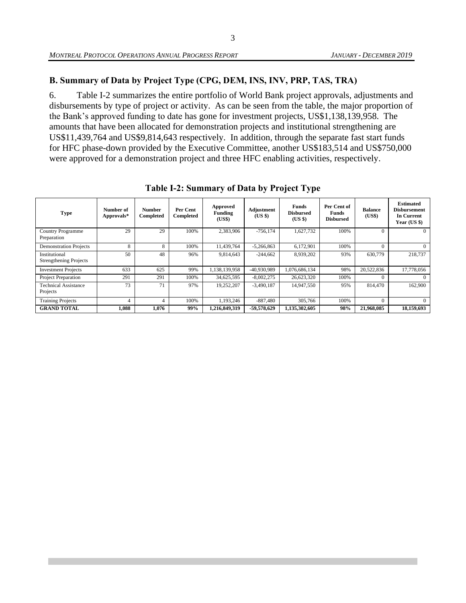# <span id="page-15-0"></span>**B. Summary of Data by Project Type (CPG, DEM, INS, INV, PRP, TAS, TRA)**

6. Table I-2 summarizes the entire portfolio of World Bank project approvals, adjustments and disbursements by type of project or activity. As can be seen from the table, the major proportion of the Bank's approved funding to date has gone for investment projects, US\$1,138,139,958. The amounts that have been allocated for demonstration projects and institutional strengthening are US\$11,439,764 and US\$9,814,643 respectively. In addition, through the separate fast start funds for HFC phase-down provided by the Executive Committee, another US\$183,514 and US\$750,000 were approved for a demonstration project and three HFC enabling activities, respectively.

<span id="page-15-1"></span>

| <b>Type</b>                                    | Number of<br>Approvals* | Number<br>Completed | Per Cent<br>Completed | Approved<br><b>Funding</b><br>(US\$) | Adjustment<br>(US \$) | Funds<br><b>Disbursed</b><br>$(US \$ | Per Cent of<br>Funds<br><b>Disbursed</b> | <b>Balance</b><br>(US\$) | <b>Estimated</b><br><b>Disbursement</b><br><b>In Current</b><br>Year $(US \$ |
|------------------------------------------------|-------------------------|---------------------|-----------------------|--------------------------------------|-----------------------|--------------------------------------|------------------------------------------|--------------------------|------------------------------------------------------------------------------|
| <b>Country Programme</b><br>Preparation        | 29                      | 29                  | 100%                  | 2,383,906                            | $-756.174$            | 1,627,732                            | 100%                                     |                          | $\Omega$                                                                     |
| <b>Demonstration Projects</b>                  | 8                       | 8                   | 100%                  | 11.439.764                           | $-5.266.863$          | 6,172,901                            | 100%                                     |                          | $\Omega$                                                                     |
| Institutional<br><b>Strengthening Projects</b> | 50                      | 48                  | 96%                   | 9,814,643                            | $-244,662$            | 8,939,202                            | 93%                                      | 630,779                  | 218,737                                                                      |
| <b>Investment Projects</b>                     | 633                     | 625                 | 99%                   | 1,138,139,958                        | -40,930,989           | 1,076,686,134                        | 98%                                      | 20,522,836               | 17,778,056                                                                   |
| <b>Project Preparation</b>                     | 291                     | 291                 | 100%                  | 34,625,595                           | $-8,002,275$          | 26,623,320                           | 100%                                     |                          | $\Omega$                                                                     |
| <b>Technical Assistance</b><br>Projects        | 73                      | 71                  | 97%                   | 19,252,207                           | $-3,490,187$          | 14,947,550                           | 95%                                      | 814,470                  | 162,900                                                                      |
| <b>Training Projects</b>                       | 4                       | 4                   | 100%                  | 1.193.246                            | $-887.480$            | 305,766                              | 100%                                     | $\Omega$                 | $\Omega$                                                                     |
| <b>GRAND TOTAL</b>                             | 1,088                   | 1,076               | 99%                   | 1,216,849,319                        | -59,578,629           | 1,135,302,605                        | 98%                                      | 21,968,085               | 18,159,693                                                                   |

**Table I-2: Summary of Data by Project Type**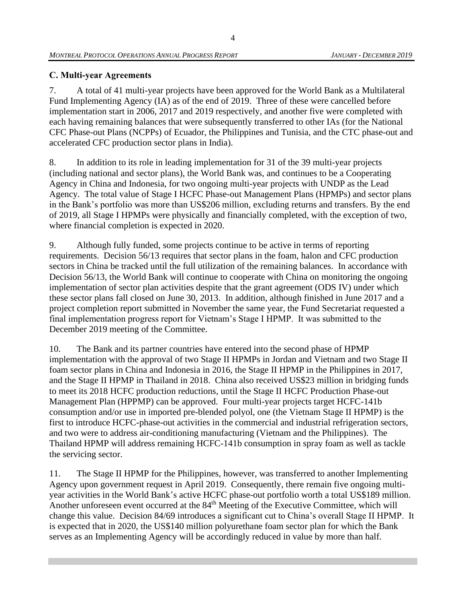# <span id="page-16-0"></span>**C. Multi-year Agreements**

7. A total of 41 multi-year projects have been approved for the World Bank as a Multilateral Fund Implementing Agency (IA) as of the end of 2019. Three of these were cancelled before implementation start in 2006, 2017 and 2019 respectively, and another five were completed with each having remaining balances that were subsequently transferred to other IAs (for the National CFC Phase-out Plans (NCPPs) of Ecuador, the Philippines and Tunisia, and the CTC phase-out and accelerated CFC production sector plans in India).

8. In addition to its role in leading implementation for 31 of the 39 multi-year projects (including national and sector plans), the World Bank was, and continues to be a Cooperating Agency in China and Indonesia, for two ongoing multi-year projects with UNDP as the Lead Agency. The total value of Stage I HCFC Phase-out Management Plans (HPMPs) and sector plans in the Bank's portfolio was more than US\$206 million, excluding returns and transfers. By the end of 2019, all Stage I HPMPs were physically and financially completed, with the exception of two, where financial completion is expected in 2020.

9. Although fully funded, some projects continue to be active in terms of reporting requirements. Decision 56/13 requires that sector plans in the foam, halon and CFC production sectors in China be tracked until the full utilization of the remaining balances. In accordance with Decision 56/13, the World Bank will continue to cooperate with China on monitoring the ongoing implementation of sector plan activities despite that the grant agreement (ODS IV) under which these sector plans fall closed on June 30, 2013. In addition, although finished in June 2017 and a project completion report submitted in November the same year, the Fund Secretariat requested a final implementation progress report for Vietnam's Stage I HPMP. It was submitted to the December 2019 meeting of the Committee.

10. The Bank and its partner countries have entered into the second phase of HPMP implementation with the approval of two Stage II HPMPs in Jordan and Vietnam and two Stage II foam sector plans in China and Indonesia in 2016, the Stage II HPMP in the Philippines in 2017, and the Stage II HPMP in Thailand in 2018. China also received US\$23 million in bridging funds to meet its 2018 HCFC production reductions, until the Stage II HCFC Production Phase-out Management Plan (HPPMP) can be approved. Four multi-year projects target HCFC-141b consumption and/or use in imported pre-blended polyol, one (the Vietnam Stage II HPMP) is the first to introduce HCFC-phase-out activities in the commercial and industrial refrigeration sectors, and two were to address air-conditioning manufacturing (Vietnam and the Philippines). The Thailand HPMP will address remaining HCFC-141b consumption in spray foam as well as tackle the servicing sector.

11. The Stage II HPMP for the Philippines, however, was transferred to another Implementing Agency upon government request in April 2019. Consequently, there remain five ongoing multiyear activities in the World Bank's active HCFC phase-out portfolio worth a total US\$189 million. Another unforeseen event occurred at the 84<sup>th</sup> Meeting of the Executive Committee, which will change this value. Decision 84/69 introduces a significant cut to China's overall Stage II HPMP. It is expected that in 2020, the US\$140 million polyurethane foam sector plan for which the Bank serves as an Implementing Agency will be accordingly reduced in value by more than half.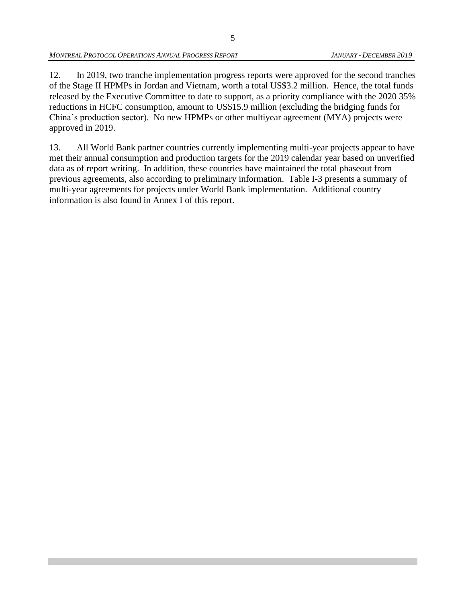12. In 2019, two tranche implementation progress reports were approved for the second tranches of the Stage II HPMPs in Jordan and Vietnam, worth a total US\$3.2 million. Hence, the total funds released by the Executive Committee to date to support, as a priority compliance with the 2020 35% reductions in HCFC consumption, amount to US\$15.9 million (excluding the bridging funds for China's production sector). No new HPMPs or other multiyear agreement (MYA) projects were approved in 2019.

13. All World Bank partner countries currently implementing multi-year projects appear to have met their annual consumption and production targets for the 2019 calendar year based on unverified data as of report writing. In addition, these countries have maintained the total phaseout from previous agreements, also according to preliminary information. Table I-3 presents a summary of multi-year agreements for projects under World Bank implementation. Additional country information is also found in Annex I of this report.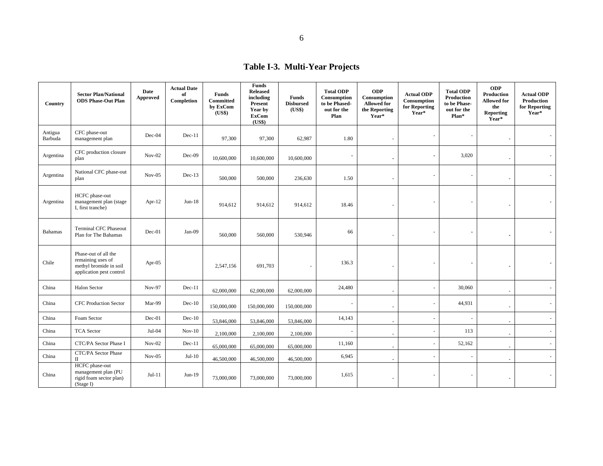# **Table I-3. Multi-Year Projects**

| Country            | <b>Sector Plan/National</b><br><b>ODS Phase-Out Plan</b>                                        | Date<br><b>Approved</b> | <b>Actual Date</b><br>of<br>Completion | <b>Funds</b><br><b>Committed</b><br>by ExCom<br>(US\$) | <b>Funds</b><br><b>Released</b><br>including<br><b>Present</b><br>Year by<br><b>ExCom</b><br>(US\$) | <b>Funds</b><br><b>Disbursed</b><br>(US\$) | <b>Total ODP</b><br>Consumption<br>to be Phased-<br>out for the<br>Plan | <b>ODP</b><br>Consumption<br><b>Allowed for</b><br>the Reporting<br>Year* | <b>Actual ODP</b><br>Consumption<br>for Reporting<br>Year* | <b>Total ODP</b><br>Production<br>to be Phase-<br>out for the<br>Plan* | <b>ODP</b><br>Production<br><b>Allowed for</b><br>the<br>Reporting<br>Year* | <b>Actual ODP</b><br>Production<br>for Reporting<br>Year* |
|--------------------|-------------------------------------------------------------------------------------------------|-------------------------|----------------------------------------|--------------------------------------------------------|-----------------------------------------------------------------------------------------------------|--------------------------------------------|-------------------------------------------------------------------------|---------------------------------------------------------------------------|------------------------------------------------------------|------------------------------------------------------------------------|-----------------------------------------------------------------------------|-----------------------------------------------------------|
| Antigua<br>Barbuda | CFC phase-out<br>management plan                                                                | Dec-04                  | $Dec-11$                               | 97,300                                                 | 97,300                                                                                              | 62,987                                     | 1.80                                                                    | L,                                                                        |                                                            | $\overline{\phantom{a}}$                                               |                                                                             |                                                           |
| Argentina          | CFC production closure<br>plan                                                                  | $Nov-02$                | $Dec-09$                               | 10,600,000                                             | 10,600,000                                                                                          | 10,600,000                                 | $\blacksquare$                                                          |                                                                           |                                                            | 3,020                                                                  |                                                                             |                                                           |
| Argentina          | National CFC phase-out<br>plan                                                                  | $Nov-05$                | $Dec-13$                               | 500,000                                                | 500,000                                                                                             | 236,630                                    | 1.50                                                                    |                                                                           |                                                            | $\overline{\phantom{a}}$                                               |                                                                             |                                                           |
| Argentina          | HCFC phase-out<br>management plan (stage<br>I, first tranche)                                   | Apr-12                  | $Jun-18$                               | 914,612                                                | 914,612                                                                                             | 914,612                                    | 18.46                                                                   |                                                                           |                                                            | $\overline{\phantom{a}}$                                               |                                                                             |                                                           |
| <b>Bahamas</b>     | <b>Terminal CFC Phaseout</b><br>Plan for The Bahamas                                            | Dec-01                  | Jan-09                                 | 560,000                                                | 560,000                                                                                             | 530,946                                    | 66                                                                      |                                                                           |                                                            |                                                                        | $\blacksquare$                                                              |                                                           |
| Chile              | Phase-out of all the<br>remaining uses of<br>methyl bromide in soil<br>application pest control | Apr-05                  |                                        | 2,547,156                                              | 691,703                                                                                             |                                            | 136.3                                                                   |                                                                           |                                                            | $\blacksquare$                                                         | $\blacksquare$                                                              |                                                           |
| China              | <b>Halon Sector</b>                                                                             | Nov-97                  | $Dec-11$                               | 62,000,000                                             | 62,000,000                                                                                          | 62,000,000                                 | 24,480                                                                  | $\overline{\phantom{a}}$                                                  |                                                            | 30,060                                                                 | $\overline{\phantom{a}}$                                                    |                                                           |
| China              | <b>CFC Production Sector</b>                                                                    | Mar-99                  | $Dec-10$                               | 150,000,000                                            | 150,000,000                                                                                         | 150,000,000                                | $\overline{\phantom{a}}$                                                | $\overline{\phantom{a}}$                                                  |                                                            | 44,931                                                                 |                                                                             |                                                           |
| China              | Foam Sector                                                                                     | $Dec-01$                | $Dec-10$                               | 53,846,000                                             | 53,846,000                                                                                          | 53,846,000                                 | 14,143                                                                  |                                                                           |                                                            | $\sim$                                                                 |                                                                             | ä,                                                        |
| China              | <b>TCA</b> Sector                                                                               | $Jul-04$                | $Nov-10$                               | 2,100,000                                              | 2,100,000                                                                                           | 2,100,000                                  |                                                                         |                                                                           |                                                            | 113                                                                    |                                                                             | a.                                                        |
| China              | CTC/PA Sector Phase I                                                                           | $Nov-02$                | $Dec-11$                               | 65,000,000                                             | 65,000,000                                                                                          | 65,000,000                                 | 11,160                                                                  | ÷                                                                         | $\overline{\phantom{a}}$                                   | 52,162                                                                 |                                                                             | a.                                                        |
| China              | CTC/PA Sector Phase<br>$\mathbf{I}$                                                             | $Nov-05$                | $Jul-10$                               | 46,500,000                                             | 46,500,000                                                                                          | 46,500,000                                 | 6,945                                                                   |                                                                           | ÷.                                                         | $\sim$                                                                 |                                                                             | $\mathcal{L}_{\mathcal{A}}$                               |
| China              | HCFC phase-out<br>management plan (PU<br>rigid foam sector plan)<br>(Stage I)                   | $Jul-11$                | $Jun-19$                               | 73,000,000                                             | 73,000,000                                                                                          | 73,000,000                                 | 1,615                                                                   |                                                                           |                                                            |                                                                        | $\sim$                                                                      |                                                           |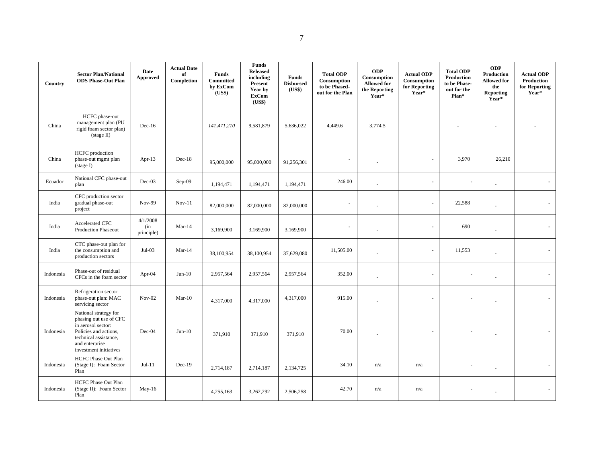| Country   | <b>Sector Plan/National</b><br><b>ODS Phase-Out Plan</b>                                                                                                            | Date<br><b>Approved</b>       | <b>Actual Date</b><br>of<br>Completion | Funds<br>Committed<br>by ExCom<br>(US\$) | <b>Funds</b><br><b>Released</b><br>including<br>Present<br>Year by<br><b>ExCom</b><br>(US\$) | Funds<br><b>Disbursed</b><br>(US\$) | <b>Total ODP</b><br>Consumption<br>to be Phased-<br>out for the Plan | <b>ODP</b><br>Consumption<br><b>Allowed for</b><br>the Reporting<br>Year* | <b>Actual ODP</b><br>Consumption<br>for Reporting<br>Year* | <b>Total ODP</b><br>Production<br>to be Phase-<br>out for the<br>Plan* | <b>ODP</b><br>Production<br><b>Allowed for</b><br>the<br><b>Reporting</b><br>Year* | <b>Actual ODP</b><br>Production<br>for Reporting<br>Year* |
|-----------|---------------------------------------------------------------------------------------------------------------------------------------------------------------------|-------------------------------|----------------------------------------|------------------------------------------|----------------------------------------------------------------------------------------------|-------------------------------------|----------------------------------------------------------------------|---------------------------------------------------------------------------|------------------------------------------------------------|------------------------------------------------------------------------|------------------------------------------------------------------------------------|-----------------------------------------------------------|
| China     | HCFC phase-out<br>management plan (PU<br>rigid foam sector plan)<br>$(\text{stage II})$                                                                             | $Dec-16$                      |                                        | 141,471,210                              | 9,581,879                                                                                    | 5,636,022                           | 4,449.6                                                              | 3,774.5                                                                   |                                                            |                                                                        |                                                                                    |                                                           |
| China     | HCFC production<br>phase-out mgmt plan<br>$(s \text{tage I})$                                                                                                       | Apr- $13$                     | $Dec-18$                               | 95,000,000                               | 95,000,000                                                                                   | 91,256,301                          |                                                                      |                                                                           |                                                            | 3,970                                                                  | 26,210                                                                             |                                                           |
| Ecuador   | National CFC phase-out<br>plan                                                                                                                                      | $Dec-03$                      | Sep-09                                 | 1,194,471                                | 1,194,471                                                                                    | 1,194,471                           | 246.00                                                               |                                                                           |                                                            | $\overline{\phantom{a}}$                                               | ä,                                                                                 |                                                           |
| India     | CFC production sector<br>gradual phase-out<br>project                                                                                                               | <b>Nov-99</b>                 | $Nov-11$                               | 82,000,000                               | 82,000,000                                                                                   | 82,000,000                          |                                                                      |                                                                           |                                                            | 22,588                                                                 | ÷                                                                                  |                                                           |
| India     | Accelerated CFC<br><b>Production Phaseout</b>                                                                                                                       | 4/1/2008<br>(in<br>principle) | $Mar-14$                               | 3,169,900                                | 3,169,900                                                                                    | 3,169,900                           |                                                                      |                                                                           |                                                            | 690                                                                    | $\sim$                                                                             |                                                           |
| India     | CTC phase-out plan for<br>the consumption and<br>production sectors                                                                                                 | $Jul-03$                      | $Mar-14$                               | 38,100,954                               | 38,100,954                                                                                   | 37,629,080                          | 11,505.00                                                            |                                                                           |                                                            | 11,553                                                                 | ÷,                                                                                 |                                                           |
| Indonesia | Phase-out of residual<br>CFCs in the foam sector                                                                                                                    | Apr-04                        | $Jun-10$                               | 2,957,564                                | 2,957,564                                                                                    | 2,957,564                           | 352.00                                                               |                                                                           |                                                            | ä,                                                                     |                                                                                    |                                                           |
| Indonesia | Refrigeration sector<br>phase-out plan: MAC<br>servicing sector                                                                                                     | $Nov-02$                      | $Mar-10$                               | 4,317,000                                | 4,317,000                                                                                    | 4,317,000                           | 915.00                                                               |                                                                           |                                                            |                                                                        | ÷,                                                                                 |                                                           |
| Indonesia | National strategy for<br>phasing out use of CFC<br>in aerosol sector:<br>Policies and actions,<br>technical assistance,<br>and enterprise<br>investment initiatives | Dec-04                        | $Jun-10$                               | 371,910                                  | 371,910                                                                                      | 371,910                             | 70.00                                                                |                                                                           |                                                            | $\overline{\phantom{a}}$                                               |                                                                                    |                                                           |
| Indonesia | HCFC Phase Out Plan<br>(Stage I): Foam Sector<br>Plan                                                                                                               | $Jul-11$                      | $Dec-19$                               | 2,714,187                                | 2,714,187                                                                                    | 2,134,725                           | 34.10                                                                | n/a                                                                       | n/a                                                        | $\overline{\phantom{a}}$                                               |                                                                                    |                                                           |
| Indonesia | <b>HCFC Phase Out Plan</b><br>(Stage II): Foam Sector<br>Plan                                                                                                       | May-16                        |                                        | 4,255,163                                | 3,262,292                                                                                    | 2,506,258                           | 42.70                                                                | n/a                                                                       | n/a                                                        |                                                                        |                                                                                    |                                                           |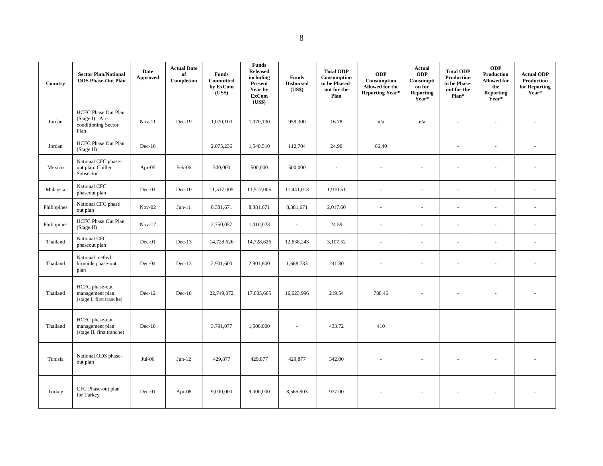| Country     | <b>Sector Plan/National</b><br><b>ODS Phase-Out Plan</b>                     | Date<br>Approved | <b>Actual Date</b><br>of<br>Completion | Funds<br>Committed<br>by ExCom<br>(US\$) | <b>Funds</b><br><b>Released</b><br>including<br>Present<br>Year by<br><b>ExCom</b><br>(US\$) | <b>Funds</b><br><b>Disbursed</b><br>(US\$) | <b>Total ODP</b><br>Consumption<br>to be Phased-<br>out for the<br>Plan | <b>ODP</b><br>Consumption<br>Allowed for the<br><b>Reporting Year*</b> | Actual<br><b>ODP</b><br>Consumpti<br>on for<br>Reporting<br>Year* | <b>Total ODP</b><br>Production<br>to be Phase-<br>out for the<br>Plan* | <b>ODP</b><br>Production<br><b>Allowed for</b><br>the<br><b>Reporting</b><br>Year* | <b>Actual ODP</b><br>Production<br>for Reporting<br>Year* |
|-------------|------------------------------------------------------------------------------|------------------|----------------------------------------|------------------------------------------|----------------------------------------------------------------------------------------------|--------------------------------------------|-------------------------------------------------------------------------|------------------------------------------------------------------------|-------------------------------------------------------------------|------------------------------------------------------------------------|------------------------------------------------------------------------------------|-----------------------------------------------------------|
| Jordan      | <b>HCFC Phase Out Plan</b><br>(Stage I): Air-<br>conditioning Sector<br>Plan | $Nov-11$         | Dec-19                                 | 1,070,100                                | 1,070,100                                                                                    | 959,300                                    | 16.78                                                                   | n/a                                                                    | n/a                                                               | $\ddot{\phantom{1}}$                                                   | $\overline{a}$                                                                     |                                                           |
| Jordan      | <b>HCFC Phase Out Plan</b><br>(Stage II)                                     | $Dec-16$         |                                        | 2,075,236                                | 1,540,510                                                                                    | 112,704                                    | 24.90                                                                   | 66.40                                                                  |                                                                   | J.                                                                     | ÷,                                                                                 | ä,                                                        |
| Mexico      | National CFC phase-<br>out plan: Chiller<br>Subsector                        | Apr- $05$        | Feb-06                                 | 500,000                                  | 500,000                                                                                      | 500,000                                    | $\overline{\phantom{a}}$                                                |                                                                        | $\sim$                                                            | ä,                                                                     | ÷,                                                                                 |                                                           |
| Malaysia    | National CFC<br>phaseout plan                                                | Dec-01           | $Dec-10$                               | 11,517,005                               | 11,517,005                                                                                   | 11,441,013                                 | 1,910.51                                                                |                                                                        | ÷,                                                                |                                                                        | ä,                                                                                 |                                                           |
| Philippines | National CFC phase<br>out plan                                               | $Nov-02$         | $Jun-11$                               | 8,381,671                                | 8,381,671                                                                                    | 8,381,671                                  | 2,017.60                                                                | $\sim$                                                                 | ÷.                                                                | L.                                                                     | ä,                                                                                 | ÷,                                                        |
| Philippines | <b>HCFC Phase Out Plan</b><br>(Stage II)                                     | $Nov-17$         |                                        | 2,750,057                                | 1,010,023                                                                                    | $\mathbf{r}$                               | 24.59                                                                   | $\sim$                                                                 | $\sim$                                                            |                                                                        | ä,                                                                                 |                                                           |
| Thailand    | National CFC<br>phaseout plan                                                | Dec-01           | $Dec-13$                               | 14,728,626                               | 14,728,626                                                                                   | 12,638,243                                 | 3,107.52                                                                | $\sim$                                                                 | $\sim$                                                            | ä,                                                                     | ÷,                                                                                 | ä,                                                        |
| Thailand    | National methyl<br>bromide phase-out<br>plan                                 | Dec-04           | $Dec-13$                               | 2,901,600                                | 2,901,600                                                                                    | 1,668,733                                  | 241.80                                                                  |                                                                        |                                                                   |                                                                        |                                                                                    |                                                           |
| Thailand    | HCFC phase-out<br>management plan<br>(stage I, first tranche)                | $Dec-12$         | $Dec-18$                               | 22,749,072                               | 17,805,665                                                                                   | 16,623,996                                 | 219.54                                                                  | 788.46                                                                 |                                                                   |                                                                        |                                                                                    |                                                           |
| Thailand    | HCFC phase-out<br>management plan<br>(stage II, first tranche)               | $Dec-18$         |                                        | 3,791,077                                | 1,500,000                                                                                    | $\overline{\phantom{a}}$                   | 433.72                                                                  | 410                                                                    |                                                                   |                                                                        |                                                                                    |                                                           |
| Tunisia     | National ODS phase-<br>out plan                                              | $Jul-06$         | $Jun-12$                               | 429,877                                  | 429,877                                                                                      | 429,877                                    | 342.00                                                                  |                                                                        |                                                                   |                                                                        |                                                                                    |                                                           |
| Turkey      | CFC Phase-out plan<br>for Turkey                                             | Dec-01           | Apr- $08$                              | 9,000,000                                | 9,000,000                                                                                    | 8,565,903                                  | 977.00                                                                  |                                                                        |                                                                   |                                                                        |                                                                                    |                                                           |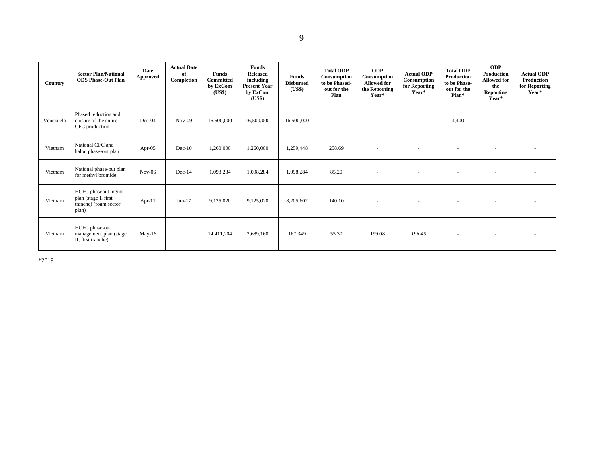| Country   | <b>Sector Plan/National</b><br><b>ODS Phase-Out Plan</b>                     | Date<br>Approved | <b>Actual Date</b><br>of<br>Completion | <b>Funds</b><br><b>Committed</b><br>by ExCom<br>(US\$) | Funds<br><b>Released</b><br>including<br><b>Present Year</b><br>by ExCom<br>( <b>US\$</b> ) | Funds<br><b>Disbursed</b><br>(US\$) | <b>Total ODP</b><br>Consumption<br>to be Phased-<br>out for the<br>Plan | <b>ODP</b><br>Consumption<br><b>Allowed for</b><br>the Reporting<br>Year* | <b>Actual ODP</b><br>Consumption<br>for Reporting<br>Year* | <b>Total ODP</b><br>Production<br>to be Phase-<br>out for the<br>Plan* | <b>ODP</b><br>Production<br><b>Allowed for</b><br>the<br>Reporting<br>Year* | <b>Actual ODP</b><br>Production<br>for Reporting<br>Year* |
|-----------|------------------------------------------------------------------------------|------------------|----------------------------------------|--------------------------------------------------------|---------------------------------------------------------------------------------------------|-------------------------------------|-------------------------------------------------------------------------|---------------------------------------------------------------------------|------------------------------------------------------------|------------------------------------------------------------------------|-----------------------------------------------------------------------------|-----------------------------------------------------------|
| Venezuela | Phased reduction and<br>closure of the entire<br>CFC production              | Dec-04           | $Nov-09$                               | 16,500,000                                             | 16,500,000                                                                                  | 16,500,000                          |                                                                         |                                                                           | $\overline{\phantom{a}}$                                   | 4,400                                                                  |                                                                             |                                                           |
| Vietnam   | National CFC and<br>halon phase-out plan                                     | Apr- $05$        | $Dec-10$                               | 1,260,000                                              | 1,260,000                                                                                   | 1,259,448                           | 258.69                                                                  | ٠                                                                         | $\overline{\phantom{a}}$                                   |                                                                        |                                                                             |                                                           |
| Vietnam   | National phase-out plan<br>for methyl bromide                                | $Nov-06$         | $Dec-14$                               | 1,098,284                                              | 1,098,284                                                                                   | 1,098,284                           | 85.20                                                                   |                                                                           | $\overline{\phantom{a}}$                                   | $\overline{\phantom{a}}$                                               | $\overline{\phantom{a}}$                                                    |                                                           |
| Vietnam   | HCFC phaseout mgmt<br>plan (stage I, first<br>tranche) (foam sector<br>plan) | $Apr-11$         | $Jun-17$                               | 9,125,020                                              | 9,125,020                                                                                   | 8,205,602                           | 140.10                                                                  | ٠                                                                         | $\overline{\phantom{a}}$                                   |                                                                        |                                                                             |                                                           |
| Vietnam   | HCFC phase-out<br>management plan (stage<br>II, first tranche)               | $May-16$         |                                        | 14,411,204                                             | 2,689,160                                                                                   | 167,349                             | 55.30                                                                   | 199.08                                                                    | 196.45                                                     | $\overline{\phantom{a}}$                                               |                                                                             |                                                           |

\*2019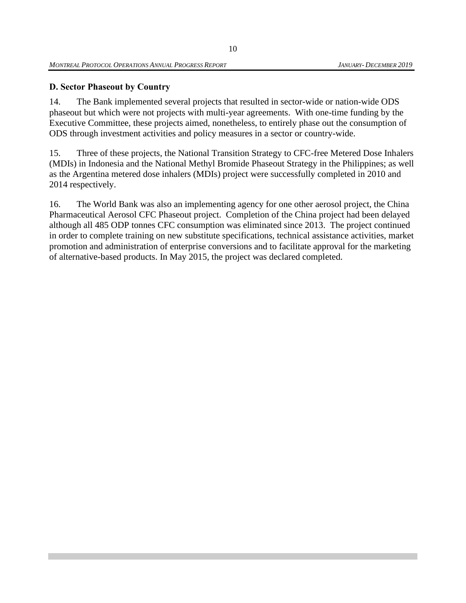# <span id="page-22-0"></span>**D. Sector Phaseout by Country**

14. The Bank implemented several projects that resulted in sector-wide or nation-wide ODS phaseout but which were not projects with multi-year agreements. With one-time funding by the Executive Committee, these projects aimed, nonetheless, to entirely phase out the consumption of ODS through investment activities and policy measures in a sector or country-wide.

15. Three of these projects, the National Transition Strategy to CFC-free Metered Dose Inhalers (MDIs) in Indonesia and the National Methyl Bromide Phaseout Strategy in the Philippines; as well as the Argentina metered dose inhalers (MDIs) project were successfully completed in 2010 and 2014 respectively.

16. The World Bank was also an implementing agency for one other aerosol project, the China Pharmaceutical Aerosol CFC Phaseout project. Completion of the China project had been delayed although all 485 ODP tonnes CFC consumption was eliminated since 2013. The project continued in order to complete training on new substitute specifications, technical assistance activities, market promotion and administration of enterprise conversions and to facilitate approval for the marketing of alternative-based products. In May 2015, the project was declared completed.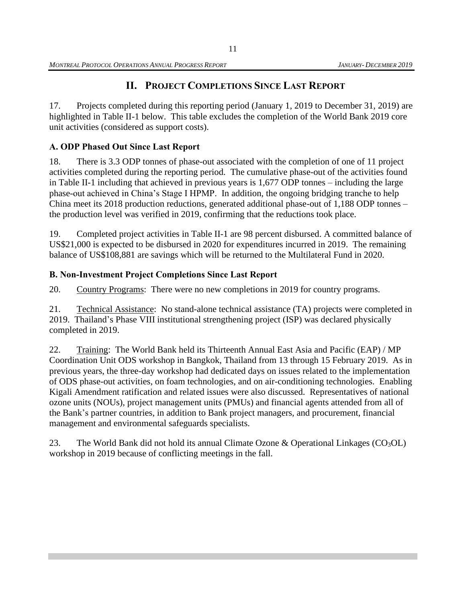# **II. PROJECT COMPLETIONS SINCE LAST REPORT**

<span id="page-23-0"></span>17. Projects completed during this reporting period (January 1, 2019 to December 31, 2019) are highlighted in Table II-1 below. This table excludes the completion of the World Bank 2019 core unit activities (considered as support costs).

# <span id="page-23-1"></span>**A. ODP Phased Out Since Last Report**

18. There is 3.3 ODP tonnes of phase-out associated with the completion of one of 11 project activities completed during the reporting period. The cumulative phase-out of the activities found in Table II-1 including that achieved in previous years is 1,677 ODP tonnes – including the large phase-out achieved in China's Stage I HPMP. In addition, the ongoing bridging tranche to help China meet its 2018 production reductions, generated additional phase-out of 1,188 ODP tonnes – the production level was verified in 2019, confirming that the reductions took place.

19. Completed project activities in Table II-1 are 98 percent disbursed. A committed balance of US\$21,000 is expected to be disbursed in 2020 for expenditures incurred in 2019. The remaining balance of US\$108,881 are savings which will be returned to the Multilateral Fund in 2020.

# <span id="page-23-2"></span>**B. Non-Investment Project Completions Since Last Report**

20. Country Programs: There were no new completions in 2019 for country programs.

21. Technical Assistance: No stand-alone technical assistance (TA) projects were completed in 2019. Thailand's Phase VIII institutional strengthening project (ISP) was declared physically completed in 2019.

22. Training: The World Bank held its Thirteenth Annual East Asia and Pacific (EAP) / MP Coordination Unit ODS workshop in Bangkok, Thailand from 13 through 15 February 2019. As in previous years, the three-day workshop had dedicated days on issues related to the implementation of ODS phase-out activities, on foam technologies, and on air-conditioning technologies. Enabling Kigali Amendment ratification and related issues were also discussed. Representatives of national ozone units (NOUs), project management units (PMUs) and financial agents attended from all of the Bank's partner countries, in addition to Bank project managers, and procurement, financial management and environmental safeguards specialists.

23. The World Bank did not hold its annual Climate Ozone & Operational Linkages  $(CO<sub>3</sub>OL)$ workshop in 2019 because of conflicting meetings in the fall.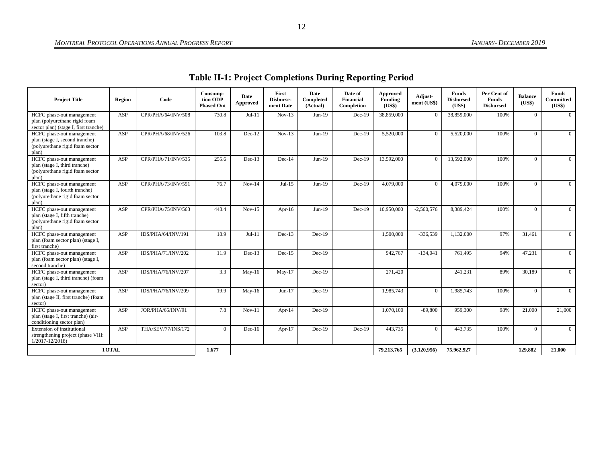| <b>Table II-1: Project Completions During Reporting Period</b> |  |  |
|----------------------------------------------------------------|--|--|
|----------------------------------------------------------------|--|--|

<span id="page-24-0"></span>

| <b>Project Title</b>                                                                                    | Region       | Code               | Consump-<br>tion ODP<br><b>Phased Out</b> | Date<br>Approved | First<br>Disburse-<br>ment Date | Date<br>Completed<br>(Actual) | Date of<br><b>Financial</b><br>Completion | Approved<br>Funding<br>(US\$) | Adjust-<br>ment (US\$) | <b>Funds</b><br><b>Disbursed</b><br>(US\$) | Per Cent of<br><b>Funds</b><br><b>Disbursed</b> | <b>Balance</b><br>(US\$) | <b>Funds</b><br><b>Committed</b><br>(US\$) |
|---------------------------------------------------------------------------------------------------------|--------------|--------------------|-------------------------------------------|------------------|---------------------------------|-------------------------------|-------------------------------------------|-------------------------------|------------------------|--------------------------------------------|-------------------------------------------------|--------------------------|--------------------------------------------|
| HCFC phase-out management<br>plan (polyurethane rigid foam<br>sector plan) (stage I, first tranche)     | ASP          | CPR/PHA/64/INV/508 | 730.8                                     | $Jul-11$         | $Nov-13$                        | $Jun-19$                      | $Dec-19$                                  | 38,859,000                    | $\Omega$               | 38,859,000                                 | 100%                                            | $\Omega$                 | $\overline{0}$                             |
| HCFC phase-out management<br>plan (stage I, second tranche)<br>(polyurethane rigid foam sector<br>plan) | ASP          | CPR/PHA/68/INV/526 | 103.8                                     | $Dec-12$         | $Nov-13$                        | $Jun-19$                      | $Dec-19$                                  | 5,520,000                     | $\Omega$               | 5,520,000                                  | 100%                                            | $\Omega$                 | $\theta$                                   |
| HCFC phase-out management<br>plan (stage I, third tranche)<br>(polyurethane rigid foam sector<br>plan)  | ASP          | CPR/PHA/71/INV/535 | 255.6                                     | $Dec-13$         | $Dec-14$                        | $Jun-19$                      | $Dec-19$                                  | 13,592,000                    | $\Omega$               | 13,592,000                                 | 100%                                            | $\Omega$                 | $\theta$                                   |
| HCFC phase-out management<br>plan (stage I, fourth tranche)<br>(polyurethane rigid foam sector<br>plan) | ASP          | CPR/PHA/73/INV/551 | 76.7                                      | $Nov-14$         | $Jul-15$                        | $Jun-19$                      | $Dec-19$                                  | 4,079,000                     | $\Omega$               | 4,079,000                                  | 100%                                            | $\Omega$                 | $\overline{0}$                             |
| HCFC phase-out management<br>plan (stage I, fifth tranche)<br>(polyurethane rigid foam sector<br>plan)  | ASP          | CPR/PHA/75/INV/563 | 448.4                                     | $Nov-15$         | Apr- $16$                       | $Jun-19$                      | $Dec-19$                                  | 10.950.000                    | $-2.560.576$           | 8.389.424                                  | 100%                                            | $\Omega$                 | $\overline{0}$                             |
| HCFC phase-out management<br>plan (foam sector plan) (stage I,<br>first tranche)                        | ASP          | IDS/PHA/64/INV/191 | 18.9                                      | $Jul-11$         | $Dec-13$                        | $Dec-19$                      |                                           | 1,500,000                     | $-336.539$             | 1.132,000                                  | 97%                                             | 31.461                   | $\overline{0}$                             |
| HCFC phase-out management<br>plan (foam sector plan) (stage I,<br>second tranche)                       | ASP          | IDS/PHA/71/INV/202 | 11.9                                      | $Dec-13$         | $Dec-15$                        | $Dec-19$                      |                                           | 942,767                       | $-134,041$             | 761,495                                    | 94%                                             | 47,231                   | $\overline{0}$                             |
| HCFC phase-out management<br>plan (stage I, third tranche) (foam<br>sector)                             | ASP          | IDS/PHA/76/INV/207 | 3.3                                       | $May-16$         | $May-17$                        | $Dec-19$                      |                                           | 271,420                       |                        | 241,231                                    | 89%                                             | 30,189                   | $\overline{0}$                             |
| HCFC phase-out management<br>plan (stage II, first tranche) (foam<br>sector)                            | ASP          | IDS/PHA/76/INV/209 | 19.9                                      | $May-16$         | $Jun-17$                        | $Dec-19$                      |                                           | 1,985,743                     | $\Omega$               | 1,985,743                                  | 100%                                            | $\Omega$                 | $\theta$                                   |
| HCFC phase-out management<br>plan (stage I, first tranche) (air-<br>conditioning sector plan)           | ASP          | JOR/PHA/65/INV/91  | 7.8                                       | $Nov-11$         | Apr- $14$                       | $Dec-19$                      |                                           | 1,070,100                     | $-89,800$              | 959,300                                    | 98%                                             | 21,000                   | 21,000                                     |
| Extension of institutional<br>strengthening project (phase VIII:<br>$1/2017 - 12/2018$                  | ASP          | THA/SEV/77/INS/172 | $\overline{0}$                            | $Dec-16$         | Apr- $17$                       | $Dec-19$                      | $Dec-19$                                  | 443.735                       | $\Omega$               | 443.735                                    | 100%                                            | $\theta$                 | $\overline{0}$                             |
|                                                                                                         | <b>TOTAL</b> |                    | 1.677                                     |                  |                                 |                               |                                           | 79,213,765                    | (3,120,956)            | 75,962,927                                 |                                                 | 129,882                  | 21,000                                     |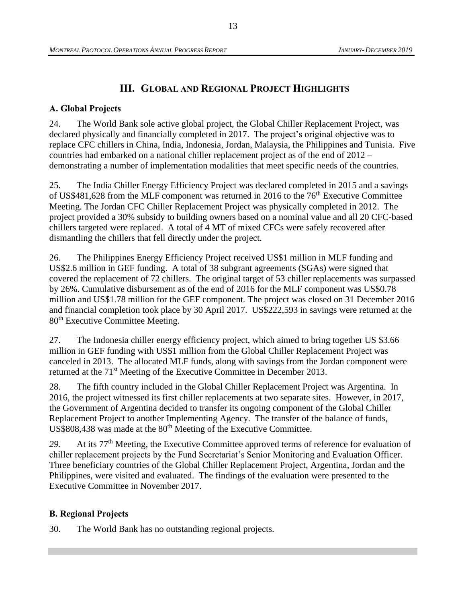# **III. GLOBAL AND REGIONAL PROJECT HIGHLIGHTS**

## <span id="page-25-1"></span><span id="page-25-0"></span>**A. Global Projects**

24. The World Bank sole active global project, the Global Chiller Replacement Project, was declared physically and financially completed in 2017. The project's original objective was to replace CFC chillers in China, India, Indonesia, Jordan, Malaysia, the Philippines and Tunisia. Five countries had embarked on a national chiller replacement project as of the end of 2012 – demonstrating a number of implementation modalities that meet specific needs of the countries.

25. The India Chiller Energy Efficiency Project was declared completed in 2015 and a savings of US\$481,628 from the MLF component was returned in 2016 to the  $76<sup>th</sup>$  Executive Committee Meeting. The Jordan CFC Chiller Replacement Project was physically completed in 2012. The project provided a 30% subsidy to building owners based on a nominal value and all 20 CFC-based chillers targeted were replaced. A total of 4 MT of mixed CFCs were safely recovered after dismantling the chillers that fell directly under the project.

26. The Philippines Energy Efficiency Project received US\$1 million in MLF funding and US\$2.6 million in GEF funding. A total of 38 subgrant agreements (SGAs) were signed that covered the replacement of 72 chillers. The original target of 53 chiller replacements was surpassed by 26%. Cumulative disbursement as of the end of 2016 for the MLF component was US\$0.78 million and US\$1.78 million for the GEF component. The project was closed on 31 December 2016 and financial completion took place by 30 April 2017. US\$222,593 in savings were returned at the 80<sup>th</sup> Executive Committee Meeting.

27. The Indonesia chiller energy efficiency project, which aimed to bring together US \$3.66 million in GEF funding with US\$1 million from the Global Chiller Replacement Project was canceled in 2013. The allocated MLF funds, along with savings from the Jordan component were returned at the 71<sup>st</sup> Meeting of the Executive Committee in December 2013.

28. The fifth country included in the Global Chiller Replacement Project was Argentina. In 2016, the project witnessed its first chiller replacements at two separate sites. However, in 2017, the Government of Argentina decided to transfer its ongoing component of the Global Chiller Replacement Project to another Implementing Agency. The transfer of the balance of funds,  $US$808,438$  was made at the  $80<sup>th</sup>$  Meeting of the Executive Committee.

*29.* At its 77th Meeting, the Executive Committee approved terms of reference for evaluation of chiller replacement projects by the Fund Secretariat's Senior Monitoring and Evaluation Officer. Three beneficiary countries of the Global Chiller Replacement Project, Argentina, Jordan and the Philippines, were visited and evaluated. The findings of the evaluation were presented to the Executive Committee in November 2017.

## <span id="page-25-2"></span>**B. Regional Projects**

30. The World Bank has no outstanding regional projects.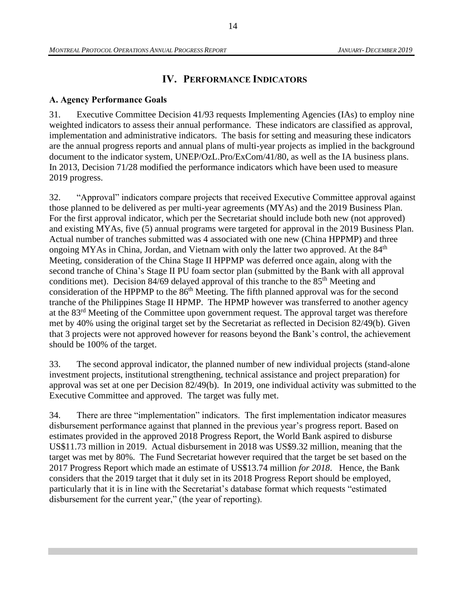# **IV. PERFORMANCE INDICATORS**

## <span id="page-26-1"></span><span id="page-26-0"></span>**A. Agency Performance Goals**

31. Executive Committee Decision 41/93 requests Implementing Agencies (IAs) to employ nine weighted indicators to assess their annual performance. These indicators are classified as approval, implementation and administrative indicators. The basis for setting and measuring these indicators are the annual progress reports and annual plans of multi-year projects as implied in the background document to the indicator system, UNEP/OzL.Pro/ExCom/41/80, as well as the IA business plans. In 2013, Decision 71/28 modified the performance indicators which have been used to measure 2019 progress.

32. "Approval" indicators compare projects that received Executive Committee approval against those planned to be delivered as per multi-year agreements (MYAs) and the 2019 Business Plan. For the first approval indicator, which per the Secretariat should include both new (not approved) and existing MYAs, five (5) annual programs were targeted for approval in the 2019 Business Plan. Actual number of tranches submitted was 4 associated with one new (China HPPMP) and three ongoing MYAs in China, Jordan, and Vietnam with only the latter two approved. At the  $84<sup>th</sup>$ Meeting, consideration of the China Stage II HPPMP was deferred once again, along with the second tranche of China's Stage II PU foam sector plan (submitted by the Bank with all approval conditions met). Decision 84/69 delayed approval of this tranche to the 85<sup>th</sup> Meeting and consideration of the HPPMP to the  $86<sup>th</sup>$  Meeting. The fifth planned approval was for the second tranche of the Philippines Stage II HPMP. The HPMP however was transferred to another agency at the 83<sup>rd</sup> Meeting of the Committee upon government request. The approval target was therefore met by 40% using the original target set by the Secretariat as reflected in Decision 82/49(b). Given that 3 projects were not approved however for reasons beyond the Bank's control, the achievement should be 100% of the target.

33. The second approval indicator, the planned number of new individual projects (stand-alone investment projects, institutional strengthening, technical assistance and project preparation) for approval was set at one per Decision 82/49(b). In 2019, one individual activity was submitted to the Executive Committee and approved. The target was fully met.

34. There are three "implementation" indicators. The first implementation indicator measures disbursement performance against that planned in the previous year's progress report. Based on estimates provided in the approved 2018 Progress Report, the World Bank aspired to disburse US\$11.73 million in 2019. Actual disbursement in 2018 was US\$9.32 million, meaning that the target was met by 80%. The Fund Secretariat however required that the target be set based on the 2017 Progress Report which made an estimate of US\$13.74 million *for 2018*. Hence, the Bank considers that the 2019 target that it duly set in its 2018 Progress Report should be employed, particularly that it is in line with the Secretariat's database format which requests "estimated disbursement for the current year," (the year of reporting).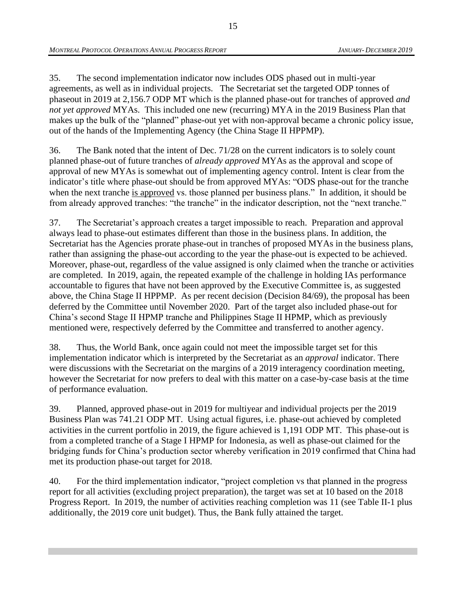35. The second implementation indicator now includes ODS phased out in multi-year agreements, as well as in individual projects. The Secretariat set the targeted ODP tonnes of phaseout in 2019 at 2,156.7 ODP MT which is the planned phase-out for tranches of approved *and not yet approved* MYAs. This included one new (recurring) MYA in the 2019 Business Plan that makes up the bulk of the "planned" phase-out yet with non-approval became a chronic policy issue, out of the hands of the Implementing Agency (the China Stage II HPPMP).

36. The Bank noted that the intent of Dec. 71/28 on the current indicators is to solely count planned phase-out of future tranches of *already approved* MYAs as the approval and scope of approval of new MYAs is somewhat out of implementing agency control. Intent is clear from the indicator's title where phase-out should be from approved MYAs: "ODS phase-out for the tranche when the next tranche is approved vs. those planned per business plans." In addition, it should be from already approved tranches: "the tranche" in the indicator description, not the "next tranche."

37. The Secretariat's approach creates a target impossible to reach. Preparation and approval always lead to phase-out estimates different than those in the business plans. In addition, the Secretariat has the Agencies prorate phase-out in tranches of proposed MYAs in the business plans, rather than assigning the phase-out according to the year the phase-out is expected to be achieved. Moreover, phase-out, regardless of the value assigned is only claimed when the tranche or activities are completed. In 2019, again, the repeated example of the challenge in holding IAs performance accountable to figures that have not been approved by the Executive Committee is, as suggested above, the China Stage II HPPMP. As per recent decision (Decision 84/69), the proposal has been deferred by the Committee until November 2020. Part of the target also included phase-out for China's second Stage II HPMP tranche and Philippines Stage II HPMP, which as previously mentioned were, respectively deferred by the Committee and transferred to another agency.

38. Thus, the World Bank, once again could not meet the impossible target set for this implementation indicator which is interpreted by the Secretariat as an *approval* indicator. There were discussions with the Secretariat on the margins of a 2019 interagency coordination meeting, however the Secretariat for now prefers to deal with this matter on a case-by-case basis at the time of performance evaluation.

39. Planned, approved phase-out in 2019 for multiyear and individual projects per the 2019 Business Plan was 741.21 ODP MT. Using actual figures, i.e. phase-out achieved by completed activities in the current portfolio in 2019, the figure achieved is 1,191 ODP MT. This phase-out is from a completed tranche of a Stage I HPMP for Indonesia, as well as phase-out claimed for the bridging funds for China's production sector whereby verification in 2019 confirmed that China had met its production phase-out target for 2018.

40. For the third implementation indicator, "project completion vs that planned in the progress report for all activities (excluding project preparation), the target was set at 10 based on the 2018 Progress Report. In 2019, the number of activities reaching completion was 11 (see Table II-1 plus additionally, the 2019 core unit budget). Thus, the Bank fully attained the target.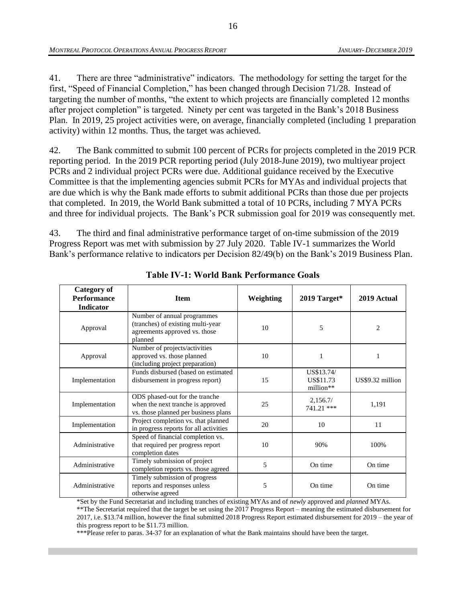41. There are three "administrative" indicators. The methodology for setting the target for the first, "Speed of Financial Completion," has been changed through Decision 71/28. Instead of targeting the number of months, "the extent to which projects are financially completed 12 months after project completion" is targeted. Ninety per cent was targeted in the Bank's 2018 Business Plan. In 2019, 25 project activities were, on average, financially completed (including 1 preparation activity) within 12 months. Thus, the target was achieved.

42. The Bank committed to submit 100 percent of PCRs for projects completed in the 2019 PCR reporting period. In the 2019 PCR reporting period (July 2018-June 2019), two multiyear project PCRs and 2 individual project PCRs were due. Additional guidance received by the Executive Committee is that the implementing agencies submit PCRs for MYAs and individual projects that are due which is why the Bank made efforts to submit additional PCRs than those due per projects that completed. In 2019, the World Bank submitted a total of 10 PCRs, including 7 MYA PCRs and three for individual projects. The Bank's PCR submission goal for 2019 was consequently met.

43. The third and final administrative performance target of on-time submission of the 2019 Progress Report was met with submission by 27 July 2020. Table IV-1 summarizes the World Bank's performance relative to indicators per Decision 82/49(b) on the Bank's 2019 Business Plan.

<span id="page-28-0"></span>

| <b>Category of</b><br><b>Performance</b><br>Indicator | <b>Item</b>                                                                                                  | Weighting | 2019 Target*                         | 2019 Actual      |
|-------------------------------------------------------|--------------------------------------------------------------------------------------------------------------|-----------|--------------------------------------|------------------|
| Approval                                              | Number of annual programmes<br>(tranches) of existing multi-year<br>agreements approved vs. those<br>planned | 10        | 5                                    | $\overline{c}$   |
| Approval                                              | Number of projects/activities<br>approved vs. those planned<br>(including project preparation)               | 10        | 1                                    |                  |
| Implementation                                        | Funds disbursed (based on estimated<br>disbursement in progress report)                                      | 15        | US\$13.74/<br>US\$11.73<br>million** | US\$9.32 million |
| Implementation                                        | ODS phased-out for the tranche<br>when the next tranche is approved<br>vs. those planned per business plans  | 25        | 2,156.7/<br>741.21 ***               | 1,191            |
| Implementation                                        | Project completion vs. that planned<br>in progress reports for all activities                                | 20        | 10                                   | 11               |
| Administrative                                        | Speed of financial completion vs.<br>that required per progress report<br>completion dates                   | 10        | 90%                                  | 100%             |
| Administrative                                        | Timely submission of project<br>completion reports vs. those agreed                                          | 5         | On time                              | On time          |
| Administrative                                        | Timely submission of progress<br>reports and responses unless<br>otherwise agreed                            | 5         | On time                              | On time          |

**Table IV-1: World Bank Performance Goals**

\*Set by the Fund Secretariat and including tranches of existing MYAs and of *newly* approved and *planned* MYAs.

\*\*The Secretariat required that the target be set using the 2017 Progress Report – meaning the estimated disbursement for 2017, i.e. \$13.74 million, however the final submitted 2018 Progress Report estimated disbursement for 2019 – the year of this progress report to be \$11.73 million.

\*\*\*Please refer to paras. 34-37 for an explanation of what the Bank maintains should have been the target.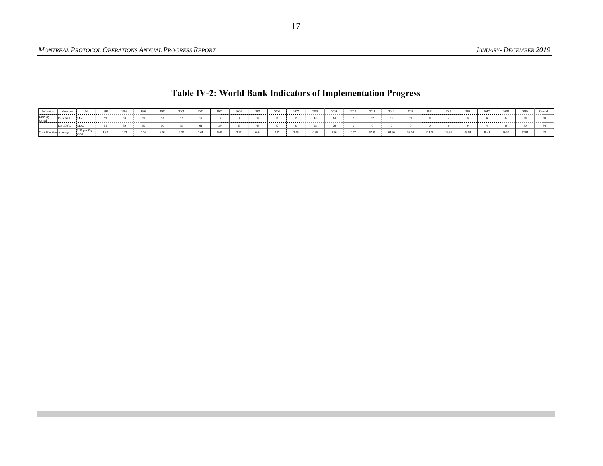# **Table IV-2: World Bank Indicators of Implementation Progress**

<span id="page-29-0"></span>

| Indicate                        | Measur     |            | 199 | 1999 | 2000 | 2001 | 2002 | $200^{2}$ | 200 | 2005 | 2006 | 2003 | 2008 | 2000 |       | 2012  | 2012<br> |       | 2016 | 2017  | 2018  |       | Overa, |
|---------------------------------|------------|------------|-----|------|------|------|------|-----------|-----|------|------|------|------|------|-------|-------|----------|-------|------|-------|-------|-------|--------|
| Delivery<br>Speed               | urst Disb. |            |     |      |      |      |      |           |     |      |      |      |      |      |       |       |          |       |      |       |       |       |        |
|                                 | ast Disb   |            |     |      |      |      |      |           |     |      |      |      |      |      |       |       |          |       |      |       |       |       |        |
| <b>COST EITECHVE 3N VEHICLE</b> |            | US\$ per K |     |      |      |      |      |           |     |      |      |      | 0.96 |      | 67.95 | 64.60 | 53.74    | 21400 |      | 48.41 | 20.57 | 52.04 |        |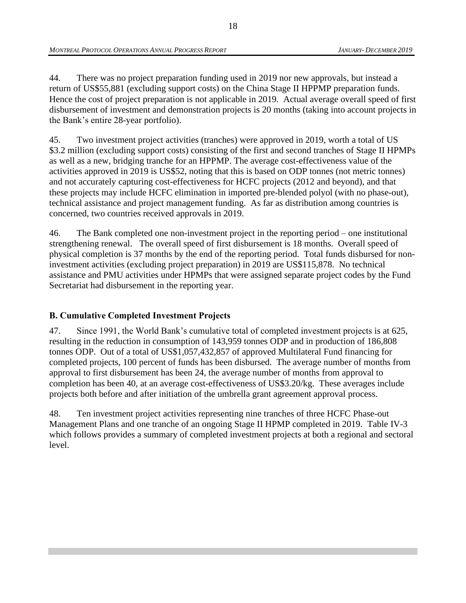44. There was no project preparation funding used in 2019 nor new approvals, but instead a return of US\$55,881 (excluding support costs) on the China Stage II HPPMP preparation funds. Hence the cost of project preparation is not applicable in 2019*.* Actual average overall speed of first disbursement of investment and demonstration projects is 20 months (taking into account projects in the Bank's entire 28-year portfolio).

45. Two investment project activities (tranches) were approved in 2019, worth a total of US \$3.2 million (excluding support costs) consisting of the first and second tranches of Stage II HPMPs as well as a new, bridging tranche for an HPPMP. The average cost-effectiveness value of the activities approved in 2019 is US\$52, noting that this is based on ODP tonnes (not metric tonnes) and not accurately capturing cost-effectiveness for HCFC projects (2012 and beyond), and that these projects may include HCFC elimination in imported pre-blended polyol (with no phase-out), technical assistance and project management funding. As far as distribution among countries is concerned, two countries received approvals in 2019.

46. The Bank completed one non-investment project in the reporting period – one institutional strengthening renewal. The overall speed of first disbursement is 18 months. Overall speed of physical completion is 37 months by the end of the reporting period. Total funds disbursed for noninvestment activities (excluding project preparation) in 2019 are US\$115,878. No technical assistance and PMU activities under HPMPs that were assigned separate project codes by the Fund Secretariat had disbursement in the reporting year.

# <span id="page-30-0"></span>**B. Cumulative Completed Investment Projects**

47. Since 1991, the World Bank's cumulative total of completed investment projects is at 625, resulting in the reduction in consumption of 143,959 tonnes ODP and in production of 186,808 tonnes ODP. Out of a total of US\$1,057,432,857 of approved Multilateral Fund financing for completed projects, 100 percent of funds has been disbursed. The average number of months from approval to first disbursement has been 24, the average number of months from approval to completion has been 40, at an average cost-effectiveness of US\$3.20/kg. These averages include projects both before and after initiation of the umbrella grant agreement approval process.

48. Ten investment project activities representing nine tranches of three HCFC Phase-out Management Plans and one tranche of an ongoing Stage II HPMP completed in 2019*.* Table IV-3 which follows provides a summary of completed investment projects at both a regional and sectoral level.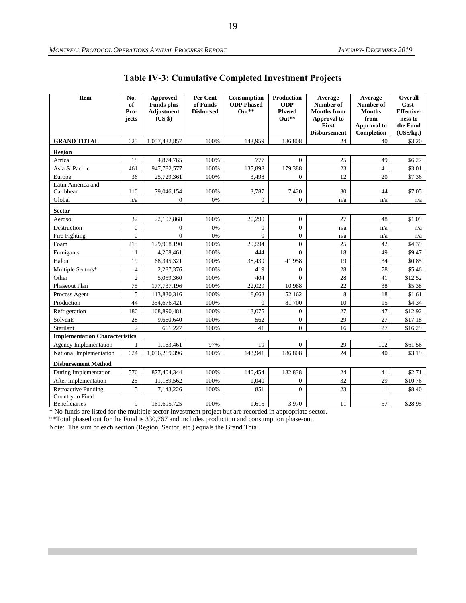<span id="page-31-0"></span>

| Item                                  | No.<br>of<br>Pro-<br>jects | <b>Approved</b><br><b>Funds</b> plus<br><b>Adjustment</b><br>(US \$) | Per Cent<br>of Funds<br><b>Disbursed</b> | Consumption<br><b>ODP</b> Phased<br>$Out**$ | Production<br><b>ODP</b><br><b>Phased</b><br>$Out**$ | Average<br>Number of<br><b>Months from</b><br>Approval to<br>First<br><b>Disbursement</b> | Average<br>Number of<br><b>Months</b><br>from<br>Approval to<br>Completion | Overall<br>Cost-<br><b>Effective-</b><br>ness to<br>the Fund<br>(US\$/kg.) |
|---------------------------------------|----------------------------|----------------------------------------------------------------------|------------------------------------------|---------------------------------------------|------------------------------------------------------|-------------------------------------------------------------------------------------------|----------------------------------------------------------------------------|----------------------------------------------------------------------------|
| <b>GRAND TOTAL</b>                    | 625                        | 1,057,432,857                                                        | 100%                                     | 143,959                                     | 186,808                                              | 24                                                                                        | 40                                                                         | \$3.20                                                                     |
| Region                                |                            |                                                                      |                                          |                                             |                                                      |                                                                                           |                                                                            |                                                                            |
| Africa                                | 18                         | 4,874,765                                                            | 100%                                     | 777                                         | $\mathbf{0}$                                         | 25                                                                                        | 49                                                                         | \$6.27                                                                     |
| Asia & Pacific                        | 461                        | 947,782,577                                                          | 100%                                     | 135,898                                     | 179,388                                              | 23                                                                                        | 41                                                                         | \$3.01                                                                     |
| Europe                                | 36                         | 25,729,361                                                           | 100%                                     | 3,498                                       | $\mathbf{0}$                                         | 12                                                                                        | 20                                                                         | \$7.36                                                                     |
| Latin America and<br>Caribbean        | 110                        | 79,046,154                                                           | 100%                                     | 3,787                                       | 7,420                                                | 30                                                                                        | 44                                                                         | \$7.05                                                                     |
| Global                                | n/a                        | $\overline{0}$                                                       | 0%                                       | $\overline{0}$                              | $\mathbf{0}$                                         | n/a                                                                                       | n/a                                                                        | n/a                                                                        |
| <b>Sector</b>                         |                            |                                                                      |                                          |                                             |                                                      |                                                                                           |                                                                            |                                                                            |
| Aerosol                               | 32                         | 22,107,868                                                           | 100%                                     | 20,290                                      | $\boldsymbol{0}$                                     | 27                                                                                        | 48                                                                         | \$1.09                                                                     |
| Destruction                           | $\overline{0}$             | $\overline{0}$                                                       | 0%                                       | $\overline{0}$                              | $\overline{0}$                                       | n/a                                                                                       | n/a                                                                        | n/a                                                                        |
| Fire Fighting                         | $\overline{0}$             | $\theta$                                                             | 0%                                       | $\theta$                                    | $\overline{0}$                                       | n/a                                                                                       | n/a                                                                        | n/a                                                                        |
| Foam                                  | 213                        | 129,968,190                                                          | 100%                                     | 29,594                                      | $\overline{0}$                                       | 25                                                                                        | 42                                                                         | \$4.39                                                                     |
| Fumigants                             | 11                         | 4,208,461                                                            | 100%                                     | 444                                         | $\Omega$                                             | 18                                                                                        | 49                                                                         | \$9.47                                                                     |
| Halon                                 | 19                         | 68,345,321                                                           | 100%                                     | 38,439                                      | 41,958                                               | 19                                                                                        | 34                                                                         | \$0.85                                                                     |
| Multiple Sectors*                     | $\overline{4}$             | 2,287,376                                                            | 100%                                     | 419                                         | $\mathbf{0}$                                         | 28                                                                                        | 78                                                                         | \$5.46                                                                     |
| Other                                 | $\mathfrak{2}$             | 5,059,360                                                            | 100%                                     | 404                                         | $\theta$                                             | 28                                                                                        | 41                                                                         | \$12.52                                                                    |
| Phaseout Plan                         | 75                         | 177, 737, 196                                                        | 100%                                     | 22,029                                      | 10,988                                               | 22                                                                                        | 38                                                                         | \$5.38                                                                     |
| Process Agent                         | 15                         | 113,830,316                                                          | 100%                                     | 18,663                                      | 52,162                                               | 8                                                                                         | 18                                                                         | \$1.61                                                                     |
| Production                            | 44                         | 354,676,421                                                          | 100%                                     | $\overline{0}$                              | 81,700                                               | 10                                                                                        | 15                                                                         | \$4.34                                                                     |
| Refrigeration                         | 180                        | 168,890,481                                                          | 100%                                     | 13,075                                      | $\mathbf{0}$                                         | 27                                                                                        | 47                                                                         | \$12.92                                                                    |
| Solvents                              | 28                         | 9,660,640                                                            | 100%                                     | 562                                         | $\boldsymbol{0}$                                     | 29                                                                                        | 27                                                                         | \$17.18                                                                    |
| Sterilant                             | $\overline{2}$             | 661,227                                                              | 100%                                     | 41                                          | $\overline{0}$                                       | 16                                                                                        | 27                                                                         | \$16.29                                                                    |
| <b>Implementation Characteristics</b> |                            |                                                                      |                                          |                                             |                                                      |                                                                                           |                                                                            |                                                                            |
| Agency Implementation                 | 1                          | 1,163,461                                                            | 97%                                      | 19                                          | $\overline{0}$                                       | 29                                                                                        | 102                                                                        | \$61.56                                                                    |
| National Implementation               | 624                        | 1,056,269,396                                                        | 100%                                     | 143,941                                     | 186,808                                              | 24                                                                                        | 40                                                                         | \$3.19                                                                     |
| <b>Disbursement Method</b>            |                            |                                                                      |                                          |                                             |                                                      |                                                                                           |                                                                            |                                                                            |
| During Implementation                 | 576                        | 877,404,344                                                          | 100%                                     | 140,454                                     | 182,838                                              | 24                                                                                        | 41                                                                         | \$2.71                                                                     |
| After Implementation                  | 25                         | 11,189,562                                                           | 100%                                     | 1,040                                       | $\mathbf{0}$                                         | 32                                                                                        | 29                                                                         | \$10.76                                                                    |
| <b>Retroactive Funding</b>            | 15                         | 7,143,226                                                            | 100%                                     | 851                                         | $\theta$                                             | 23                                                                                        | $\mathbf{1}$                                                               | \$8.40                                                                     |
| Country to Final<br>Beneficiaries     | 9                          | 161,695,725                                                          | 100%                                     | 1,615                                       | 3.970                                                | 11                                                                                        | 57                                                                         | \$28.95                                                                    |

**Table IV-3: Cumulative Completed Investment Projects**

\* No funds are listed for the multiple sector investment project but are recorded in appropriate sector.

\*\*Total phased out for the Fund is 330,767 and includes production and consumption phase-out.

Note: The sum of each section (Region, Sector, etc.) equals the Grand Total.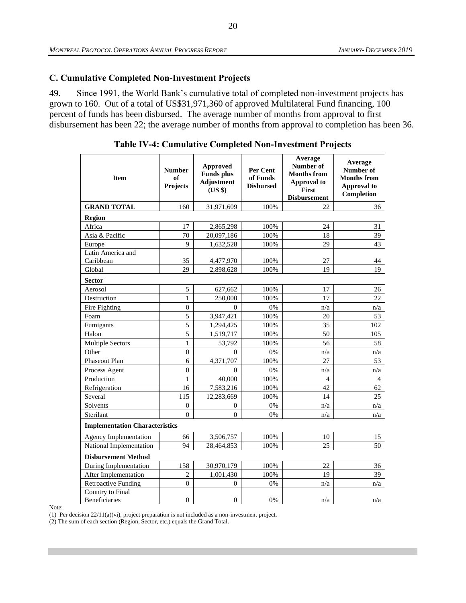## <span id="page-32-0"></span>**C. Cumulative Completed Non-Investment Projects**

49. Since 1991, the World Bank's cumulative total of completed non-investment projects has grown to 160. Out of a total of US\$31,971,360 of approved Multilateral Fund financing, 100 percent of funds has been disbursed. The average number of months from approval to first disbursement has been 22; the average number of months from approval to completion has been 36.

<span id="page-32-1"></span>

| <b>Item</b>                           | <b>Number</b><br>of<br>Projects | <b>Approved</b><br><b>Funds</b> plus<br><b>Adjustment</b><br>(US \$) | Per Cent<br>of Funds<br><b>Disbursed</b> | Average<br>Number of<br><b>Months from</b><br><b>Approval to</b><br><b>First</b><br><b>Disbursement</b> | Average<br>Number of<br><b>Months from</b><br>Approval to<br>Completion |
|---------------------------------------|---------------------------------|----------------------------------------------------------------------|------------------------------------------|---------------------------------------------------------------------------------------------------------|-------------------------------------------------------------------------|
| <b>GRAND TOTAL</b>                    | 160                             | 31,971,609                                                           | 100%                                     | 22                                                                                                      | 36                                                                      |
| <b>Region</b>                         |                                 |                                                                      |                                          |                                                                                                         |                                                                         |
| Africa                                | 17                              | 2,865,298                                                            | 100%                                     | 24                                                                                                      | 31                                                                      |
| Asia & Pacific                        | 70                              | 20,097,186                                                           | 100%                                     | 18                                                                                                      | 39                                                                      |
| Europe                                | 9                               | 1,632,528                                                            | 100%                                     | 29                                                                                                      | 43                                                                      |
| Latin America and                     |                                 |                                                                      |                                          |                                                                                                         |                                                                         |
| Caribbean                             | 35                              | 4,477,970                                                            | 100%                                     | 27                                                                                                      | 44                                                                      |
| Global                                | 29                              | 2,898,628                                                            | 100%                                     | 19                                                                                                      | 19                                                                      |
| <b>Sector</b>                         |                                 |                                                                      |                                          |                                                                                                         |                                                                         |
| Aerosol                               | 5                               | 627,662                                                              | 100%                                     | 17                                                                                                      | 26                                                                      |
| Destruction                           | $\mathbf{1}$                    | 250,000                                                              | 100%                                     | 17                                                                                                      | 22                                                                      |
| Fire Fighting                         | $\boldsymbol{0}$                | $\Omega$                                                             | 0%                                       | n/a                                                                                                     | n/a                                                                     |
| Foam                                  | 5                               | 3,947,421                                                            | 100%                                     | 20                                                                                                      | 53                                                                      |
| Fumigants                             | 5                               | 1,294,425                                                            | 100%                                     | 35                                                                                                      | 102                                                                     |
| Halon                                 | 5                               | 1,519,717                                                            | 100%                                     | 50                                                                                                      | 105                                                                     |
| <b>Multiple Sectors</b>               | 1                               | 53,792                                                               | 100%                                     | 56                                                                                                      | 58                                                                      |
| Other                                 | $\mathbf{0}$                    | $\Omega$                                                             | 0%                                       | n/a                                                                                                     | n/a                                                                     |
| Phaseout Plan                         | 6                               | 4,371,707                                                            | 100%                                     | 27                                                                                                      | 53                                                                      |
| Process Agent                         | $\theta$                        | $\Omega$                                                             | 0%                                       | n/a                                                                                                     | n/a                                                                     |
| Production                            | 1                               | 40,000                                                               | 100%                                     | 4                                                                                                       | 4                                                                       |
| Refrigeration                         | 16                              | 7,583,216                                                            | 100%                                     | 42                                                                                                      | 62                                                                      |
| Several                               | 115                             | 12,283,669                                                           | 100%                                     | 14                                                                                                      | 25                                                                      |
| Solvents                              | $\Omega$                        | 0                                                                    | 0%                                       | n/a                                                                                                     | n/a                                                                     |
| Sterilant                             | $\boldsymbol{0}$                | $\overline{0}$                                                       | 0%                                       | n/a                                                                                                     | n/a                                                                     |
| <b>Implementation Characteristics</b> |                                 |                                                                      |                                          |                                                                                                         |                                                                         |
| <b>Agency Implementation</b>          | 66                              | 3,506,757                                                            | 100%                                     | 10                                                                                                      | 15                                                                      |
| National Implementation               | 94                              | 28,464,853                                                           | 100%                                     | 25                                                                                                      | 50                                                                      |
| <b>Disbursement Method</b>            |                                 |                                                                      |                                          |                                                                                                         |                                                                         |
| During Implementation                 | 158                             | 30,970,179                                                           | 100%                                     | 22                                                                                                      | 36                                                                      |
| After Implementation                  | $\overline{c}$                  | 1,001,430                                                            | 100%                                     | 19                                                                                                      | 39                                                                      |
| <b>Retroactive Funding</b>            | $\overline{0}$                  | $\Omega$                                                             | 0%                                       | n/a                                                                                                     | n/a                                                                     |
| Country to Final<br>Beneficiaries     | $\Omega$                        | $\theta$                                                             | 0%                                       | n/a                                                                                                     | n/a                                                                     |

**Table IV-4: Cumulative Completed Non-Investment Projects**

Note:

(1) Per decision 22/11(a)(vi), project preparation is not included as a non-investment project.

(2) The sum of each section (Region, Sector, etc.) equals the Grand Total.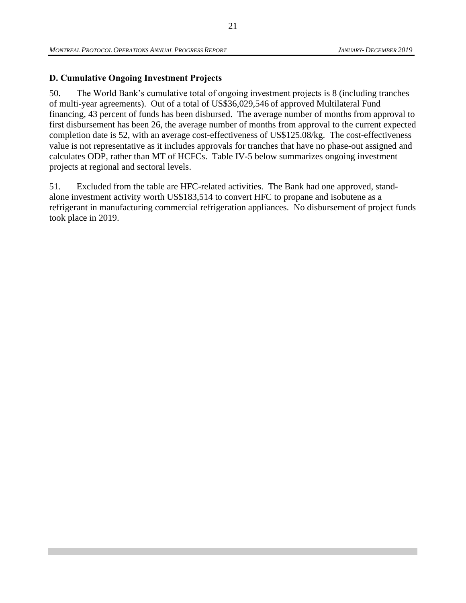# <span id="page-33-0"></span>**D. Cumulative Ongoing Investment Projects**

50. The World Bank's cumulative total of ongoing investment projects is 8 (including tranches of multi-year agreements). Out of a total of US\$36,029,546 of approved Multilateral Fund financing, 43 percent of funds has been disbursed. The average number of months from approval to first disbursement has been 26, the average number of months from approval to the current expected completion date is 52, with an average cost-effectiveness of US\$125.08/kg. The cost-effectiveness value is not representative as it includes approvals for tranches that have no phase-out assigned and calculates ODP, rather than MT of HCFCs. Table IV-5 below summarizes ongoing investment projects at regional and sectoral levels.

51. Excluded from the table are HFC-related activities. The Bank had one approved, standalone investment activity worth US\$183,514 to convert HFC to propane and isobutene as a refrigerant in manufacturing commercial refrigeration appliances. No disbursement of project funds took place in 2019.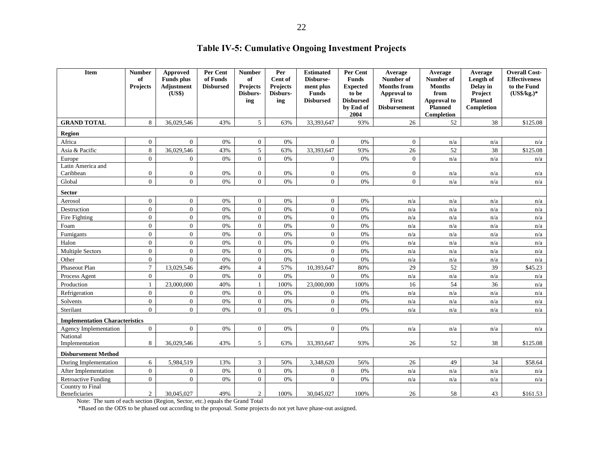# **Table IV-5: Cumulative Ongoing Investment Projects**

<span id="page-34-0"></span>

| <b>Item</b>                           | <b>Number</b><br>of<br><b>Projects</b> | <b>Approved</b><br><b>Funds</b> plus<br>Adjustment<br>(US\$) | Per Cent<br>of Funds<br><b>Disbursed</b> | <b>Number</b><br>of<br>Projects<br>Disburs- | Per<br>Cent of<br><b>Projects</b><br>Disburs- | <b>Estimated</b><br>Disburse-<br>ment plus<br><b>Funds</b> | Per Cent<br><b>Funds</b><br><b>Expected</b><br>to be | Average<br>Number of<br><b>Months from</b><br>Approval to | Average<br>Number of<br><b>Months</b><br>from | Average<br>Length of<br>Delay in<br>Project | <b>Overall Cost-</b><br><b>Effectiveness</b><br>to the Fund<br>$(US\$/kg.)*$ |
|---------------------------------------|----------------------------------------|--------------------------------------------------------------|------------------------------------------|---------------------------------------------|-----------------------------------------------|------------------------------------------------------------|------------------------------------------------------|-----------------------------------------------------------|-----------------------------------------------|---------------------------------------------|------------------------------------------------------------------------------|
|                                       |                                        |                                                              |                                          | ing                                         | ing                                           | <b>Disbursed</b>                                           | <b>Disbursed</b><br>by End of<br>2004                | First<br><b>Disbursement</b>                              | Approval to<br><b>Planned</b><br>Completion   | <b>Planned</b><br>Completion                |                                                                              |
| <b>GRAND TOTAL</b>                    | 8                                      | 36,029,546                                                   | 43%                                      | 5 <sup>5</sup>                              | 63%                                           | 33,393,647                                                 | 93%                                                  | 26                                                        | 52                                            | 38                                          | \$125.08                                                                     |
| <b>Region</b>                         |                                        |                                                              |                                          |                                             |                                               |                                                            |                                                      |                                                           |                                               |                                             |                                                                              |
| Africa                                | $\overline{0}$                         | $\mathbf{0}$                                                 | 0%                                       | $\overline{0}$                              | 0%                                            | $\overline{0}$                                             | 0%                                                   | $\boldsymbol{0}$                                          | n/a                                           | n/a                                         | n/a                                                                          |
| Asia & Pacific                        | 8                                      | 36,029,546                                                   | 43%                                      | 5                                           | 63%                                           | 33,393,647                                                 | 93%                                                  | 26                                                        | 52                                            | 38                                          | \$125.08                                                                     |
| Europe                                | $\overline{0}$                         | $\mathbf{0}$                                                 | 0%                                       | $\overline{0}$                              | 0%                                            | $\mathbf{0}$                                               | 0%                                                   | $\mathbf{0}$                                              | n/a                                           | n/a                                         | n/a                                                                          |
| Latin America and                     |                                        |                                                              |                                          |                                             |                                               |                                                            |                                                      |                                                           |                                               |                                             |                                                                              |
| Caribbean                             | $\overline{0}$                         | $\mathbf{0}$                                                 | 0%                                       | $\Omega$                                    | 0%                                            | $\overline{0}$                                             | 0%                                                   | $\mathbf{0}$                                              | n/a                                           | n/a                                         | n/a                                                                          |
| Global                                | $\theta$                               | $\overline{0}$                                               | 0%                                       | $\overline{0}$                              | 0%                                            | $\overline{0}$                                             | 0%                                                   | $\overline{0}$                                            | n/a                                           | n/a                                         | n/a                                                                          |
| <b>Sector</b>                         |                                        |                                                              |                                          |                                             |                                               |                                                            |                                                      |                                                           |                                               |                                             |                                                                              |
| Aerosol                               | $\mathbf{0}$                           | $\mathbf{0}$                                                 | 0%                                       | $\overline{0}$                              | 0%                                            | $\overline{0}$                                             | 0%                                                   | n/a                                                       | n/a                                           | n/a                                         | n/a                                                                          |
| Destruction                           | $\theta$                               | $\Omega$                                                     | 0%                                       | $\Omega$                                    | 0%                                            | $\overline{0}$                                             | 0%                                                   | n/a                                                       | n/a                                           | n/a                                         | n/a                                                                          |
| Fire Fighting                         | $\mathbf{0}$                           | $\mathbf{0}$                                                 | 0%                                       | $\overline{0}$                              | 0%                                            | $\overline{0}$                                             | 0%                                                   | n/a                                                       | n/a                                           | n/a                                         | n/a                                                                          |
| Foam                                  | $\mathbf{0}$                           | $\mathbf{0}$                                                 | 0%                                       | $\overline{0}$                              | 0%                                            | $\mathbf{0}$                                               | 0%                                                   | n/a                                                       | n/a                                           | n/a                                         | n/a                                                                          |
| Fumigants                             | $\mathbf{0}$                           | $\mathbf{0}$                                                 | 0%                                       | $\overline{0}$                              | 0%                                            | $\overline{0}$                                             | 0%                                                   | n/a                                                       | n/a                                           | n/a                                         | n/a                                                                          |
| Halon                                 | $\overline{0}$                         | $\mathbf{0}$                                                 | 0%                                       | $\overline{0}$                              | 0%                                            | $\boldsymbol{0}$                                           | 0%                                                   | n/a                                                       | n/a                                           | n/a                                         | n/a                                                                          |
| <b>Multiple Sectors</b>               | $\overline{0}$                         | $\mathbf{0}$                                                 | 0%                                       | $\overline{0}$                              | 0%                                            | $\overline{0}$                                             | 0%                                                   | n/a                                                       | n/a                                           | n/a                                         | n/a                                                                          |
| Other                                 | $\overline{0}$                         | $\mathbf{0}$                                                 | 0%                                       | $\overline{0}$                              | 0%                                            | $\overline{0}$                                             | 0%                                                   | n/a                                                       | n/a                                           | n/a                                         | n/a                                                                          |
| Phaseout Plan                         | $\boldsymbol{7}$                       | 13,029,546                                                   | 49%                                      | $\overline{4}$                              | 57%                                           | 10,393,647                                                 | 80%                                                  | 29                                                        | 52                                            | 39                                          | \$45.23                                                                      |
| Process Agent                         | $\mathbf{0}$                           | $\overline{0}$                                               | 0%                                       | $\overline{0}$                              | 0%                                            | $\overline{0}$                                             | 0%                                                   | n/a                                                       | n/a                                           | n/a                                         | n/a                                                                          |
| Production                            | $\mathbf{1}$                           | 23,000,000                                                   | 40%                                      | $\mathbf{1}$                                | 100%                                          | 23,000,000                                                 | 100%                                                 | 16                                                        | 54                                            | 36                                          | n/a                                                                          |
| Refrigeration                         | $\overline{0}$                         | $\overline{0}$                                               | 0%                                       | $\overline{0}$                              | 0%                                            | $\overline{0}$                                             | 0%                                                   | n/a                                                       | n/a                                           | n/a                                         | n/a                                                                          |
| Solvents                              | $\overline{0}$                         | $\overline{0}$                                               | 0%                                       | $\overline{0}$                              | 0%                                            | $\mathbf{0}$                                               | 0%                                                   | n/a                                                       | n/a                                           | n/a                                         | n/a                                                                          |
| Sterilant                             | $\Omega$                               | $\mathbf{0}$                                                 | 0%                                       | $\overline{0}$                              | 0%                                            | $\overline{0}$                                             | 0%                                                   | n/a                                                       | n/a                                           | n/a                                         | n/a                                                                          |
| <b>Implementation Characteristics</b> |                                        |                                                              |                                          |                                             |                                               |                                                            |                                                      |                                                           |                                               |                                             |                                                                              |
| <b>Agency Implementation</b>          | $\mathbf{0}$                           | $\overline{0}$                                               | 0%                                       | $\overline{0}$                              | 0%                                            | $\overline{0}$                                             | 0%                                                   | n/a                                                       | n/a                                           | n/a                                         | n/a                                                                          |
| National<br>Implementation            | 8                                      | 36,029,546                                                   | 43%                                      | 5                                           | 63%                                           | 33,393,647                                                 | 93%                                                  | 26                                                        | 52                                            | 38                                          | \$125.08                                                                     |
| <b>Disbursement Method</b>            |                                        |                                                              |                                          |                                             |                                               |                                                            |                                                      |                                                           |                                               |                                             |                                                                              |
| During Implementation                 | 6                                      | 5,984,519                                                    | 13%                                      | $\mathfrak{Z}$                              | 50%                                           | 3,348,620                                                  | 56%                                                  | 26                                                        | 49                                            | 34                                          | \$58.64                                                                      |
| After Implementation                  | $\boldsymbol{0}$                       | $\mathbf{0}$                                                 | 0%                                       | $\overline{0}$                              | 0%                                            | $\overline{0}$                                             | 0%                                                   | n/a                                                       | n/a                                           | n/a                                         | n/a                                                                          |
| <b>Retroactive Funding</b>            | $\overline{0}$                         | $\overline{0}$                                               | 0%                                       | $\overline{0}$                              | 0%                                            | $\overline{0}$                                             | 0%                                                   | n/a                                                       | n/a                                           | n/a                                         | n/a                                                                          |
| Country to Final<br>Beneficiaries     | 2                                      | 30,045,027                                                   | 49%                                      | $\overline{2}$                              | 100%                                          | 30,045,027                                                 | 100%                                                 | 26                                                        | 58                                            | 43                                          | \$161.53                                                                     |

Note: The sum of each section (Region, Sector, etc.) equals the Grand Total

\*Based on the ODS to be phased out according to the proposal. Some projects do not yet have phase-out assigned.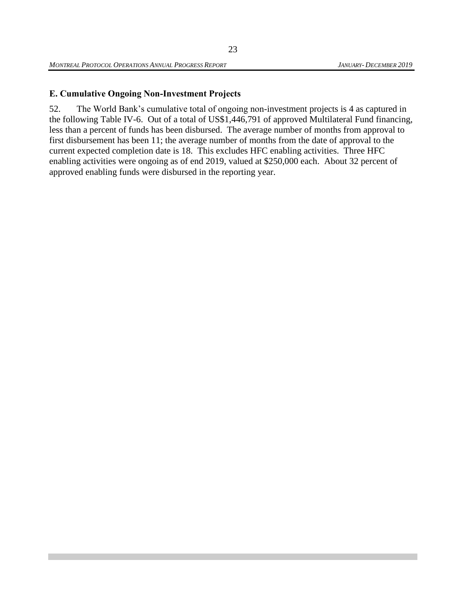# <span id="page-35-0"></span>**E. Cumulative Ongoing Non-Investment Projects**

52. The World Bank's cumulative total of ongoing non-investment projects is 4 as captured in the following Table IV-6. Out of a total of US\$1,446,791 of approved Multilateral Fund financing, less than a percent of funds has been disbursed. The average number of months from approval to first disbursement has been 11; the average number of months from the date of approval to the current expected completion date is 18. This excludes HFC enabling activities. Three HFC enabling activities were ongoing as of end 2019, valued at \$250,000 each. About 32 percent of approved enabling funds were disbursed in the reporting year.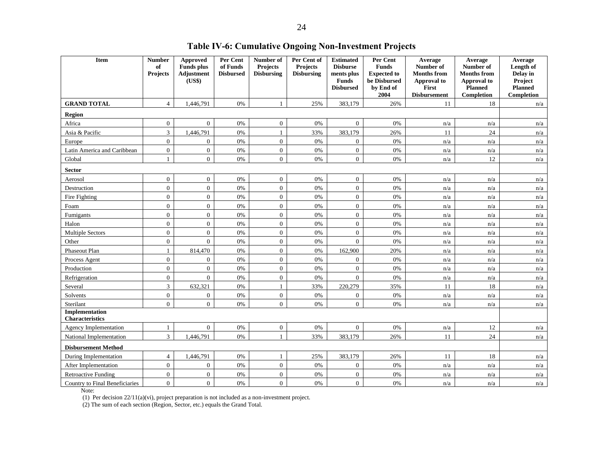<span id="page-36-0"></span>

| Item                                     | <b>Number</b><br>of<br><b>Projects</b> | <b>Approved</b><br><b>Funds</b> plus<br><b>Adjustment</b><br>(US\$) | Per Cent<br>of Funds<br><b>Disbursed</b> | Number of<br><b>Projects</b><br><b>Disbursing</b> | Per Cent of<br><b>Projects</b><br><b>Disbursing</b> | <b>Estimated</b><br><b>Disburse</b><br>ments plus<br><b>Funds</b><br><b>Disbursed</b> | Per Cent<br><b>Funds</b><br><b>Expected to</b><br>be Disbursed<br>by End of<br>2004 | Average<br>Number of<br><b>Months from</b><br><b>Approval</b> to<br>First<br><b>Disbursement</b> | Average<br>Number of<br><b>Months from</b><br>Approval to<br>Planned<br>Completion | Average<br>Length of<br>Delay in<br>Project<br><b>Planned</b><br>Completion |
|------------------------------------------|----------------------------------------|---------------------------------------------------------------------|------------------------------------------|---------------------------------------------------|-----------------------------------------------------|---------------------------------------------------------------------------------------|-------------------------------------------------------------------------------------|--------------------------------------------------------------------------------------------------|------------------------------------------------------------------------------------|-----------------------------------------------------------------------------|
| <b>GRAND TOTAL</b>                       | $\overline{4}$                         | 1,446,791                                                           | $0\%$                                    | $\mathbf{1}$                                      | 25%                                                 | 383,179                                                                               | 26%                                                                                 | 11                                                                                               | 18                                                                                 | n/a                                                                         |
| Region                                   |                                        |                                                                     |                                          |                                                   |                                                     |                                                                                       |                                                                                     |                                                                                                  |                                                                                    |                                                                             |
| Africa                                   | $\overline{0}$                         | $\overline{0}$                                                      | 0%                                       | $\overline{0}$                                    | 0%                                                  | $\mathbf{0}$                                                                          | 0%                                                                                  | n/a                                                                                              | n/a                                                                                | n/a                                                                         |
| Asia & Pacific                           | $\overline{3}$                         | 1,446,791                                                           | 0%                                       | $\mathbf{1}$                                      | 33%                                                 | 383,179                                                                               | 26%                                                                                 | 11                                                                                               | 24                                                                                 | n/a                                                                         |
| Europe                                   | $\boldsymbol{0}$                       | $\mathbf{0}$                                                        | 0%                                       | $\overline{0}$                                    | 0%                                                  | $\overline{0}$                                                                        | 0%                                                                                  | n/a                                                                                              | n/a                                                                                | n/a                                                                         |
| Latin America and Caribbean              | $\mathbf{0}$                           | $\mathbf{0}$                                                        | 0%                                       | $\overline{0}$                                    | 0%                                                  | $\mathbf{0}$                                                                          | 0%                                                                                  | n/a                                                                                              | n/a                                                                                | n/a                                                                         |
| Global                                   | $\mathbf{1}$                           | $\overline{0}$                                                      | 0%                                       | $\overline{0}$                                    | 0%                                                  | $\overline{0}$                                                                        | 0%                                                                                  | n/a                                                                                              | 12                                                                                 | n/a                                                                         |
| <b>Sector</b>                            |                                        |                                                                     |                                          |                                                   |                                                     |                                                                                       |                                                                                     |                                                                                                  |                                                                                    |                                                                             |
| Aerosol                                  | $\overline{0}$                         | $\overline{0}$                                                      | 0%                                       | $\overline{0}$                                    | 0%                                                  | $\overline{0}$                                                                        | 0%                                                                                  | n/a                                                                                              | n/a                                                                                | n/a                                                                         |
| Destruction                              | $\mathbf{0}$                           | $\mathbf{0}$                                                        | 0%                                       | $\Omega$                                          | 0%                                                  | $\overline{0}$                                                                        | 0%                                                                                  | n/a                                                                                              | n/a                                                                                | n/a                                                                         |
| Fire Fighting                            | $\mathbf{0}$                           | $\mathbf{0}$                                                        | $0\%$                                    | $\overline{0}$                                    | 0%                                                  | $\mathbf{0}$                                                                          | 0%                                                                                  | n/a                                                                                              | n/a                                                                                | n/a                                                                         |
| Foam                                     | $\mathbf{0}$                           | $\mathbf{0}$                                                        | $0\%$                                    | $\overline{0}$                                    | 0%                                                  | $\overline{0}$                                                                        | 0%                                                                                  | n/a                                                                                              | n/a                                                                                | n/a                                                                         |
| Fumigants                                | $\mathbf{0}$                           | $\mathbf{0}$                                                        | 0%                                       | $\overline{0}$                                    | 0%                                                  | $\overline{0}$                                                                        | 0%                                                                                  | n/a                                                                                              | n/a                                                                                | n/a                                                                         |
| Halon                                    | $\mathbf{0}$                           | $\mathbf{0}$                                                        | 0%                                       | $\overline{0}$                                    | 0%                                                  | $\overline{0}$                                                                        | 0%                                                                                  | n/a                                                                                              | n/a                                                                                | n/a                                                                         |
| <b>Multiple Sectors</b>                  | $\overline{0}$                         | $\Omega$                                                            | 0%                                       | $\overline{0}$                                    | 0%                                                  | $\overline{0}$                                                                        | 0%                                                                                  | n/a                                                                                              | n/a                                                                                | n/a                                                                         |
| Other                                    | $\overline{0}$                         | $\Omega$                                                            | 0%                                       | $\Omega$                                          | 0%                                                  | $\theta$                                                                              | 0%                                                                                  | n/a                                                                                              | n/a                                                                                | n/a                                                                         |
| Phaseout Plan                            | $\mathbf{1}$                           | 814,470                                                             | 0%                                       | $\Omega$                                          | 0%                                                  | 162,900                                                                               | 20%                                                                                 | n/a                                                                                              | n/a                                                                                | n/a                                                                         |
| Process Agent                            | $\mathbf{0}$                           | $\overline{0}$                                                      | $0\%$                                    | $\overline{0}$                                    | 0%                                                  | $\theta$                                                                              | 0%                                                                                  | n/a                                                                                              | n/a                                                                                | n/a                                                                         |
| Production                               | $\mathbf{0}$                           | $\mathbf{0}$                                                        | $0\%$                                    | $\overline{0}$                                    | 0%                                                  | $\overline{0}$                                                                        | 0%                                                                                  | n/a                                                                                              | n/a                                                                                | n/a                                                                         |
| Refrigeration                            | $\mathbf{0}$                           | $\theta$                                                            | 0%                                       | $\overline{0}$                                    | 0%                                                  | $\overline{0}$                                                                        | 0%                                                                                  | n/a                                                                                              | n/a                                                                                | n/a                                                                         |
| Several                                  | 3                                      | 632,321                                                             | 0%                                       | 1                                                 | 33%                                                 | 220,279                                                                               | 35%                                                                                 | 11                                                                                               | 18                                                                                 | n/a                                                                         |
| Solvents                                 | $\mathbf{0}$                           | $\boldsymbol{0}$                                                    | 0%                                       | $\mathbf{0}$                                      | 0%                                                  | $\mathbf{0}$                                                                          | 0%                                                                                  | n/a                                                                                              | n/a                                                                                | n/a                                                                         |
| Sterilant                                | $\overline{0}$                         | $\Omega$                                                            | 0%                                       | $\overline{0}$                                    | 0%                                                  | $\overline{0}$                                                                        | 0%                                                                                  | n/a                                                                                              | n/a                                                                                | n/a                                                                         |
| Implementation<br><b>Characteristics</b> |                                        |                                                                     |                                          |                                                   |                                                     |                                                                                       |                                                                                     |                                                                                                  |                                                                                    |                                                                             |
| Agency Implementation                    | $\mathbf{1}$                           | $\mathbf{0}$                                                        | 0%                                       | $\overline{0}$                                    | 0%                                                  | $\mathbf{0}$                                                                          | 0%                                                                                  | n/a                                                                                              | 12                                                                                 | n/a                                                                         |
| National Implementation                  | 3                                      | 1,446,791                                                           | 0%                                       | $\mathbf{1}$                                      | 33%                                                 | 383,179                                                                               | 26%                                                                                 | 11                                                                                               | 24                                                                                 | n/a                                                                         |
| <b>Disbursement Method</b>               |                                        |                                                                     |                                          |                                                   |                                                     |                                                                                       |                                                                                     |                                                                                                  |                                                                                    |                                                                             |
| During Implementation                    | $\overline{4}$                         | 1,446,791                                                           | 0%                                       | $\mathbf{1}$                                      | 25%                                                 | 383,179                                                                               | 26%                                                                                 | 11                                                                                               | 18                                                                                 | n/a                                                                         |
| After Implementation                     | $\overline{0}$                         | $\mathbf{0}$                                                        | 0%                                       | $\overline{0}$                                    | 0%                                                  | $\mathbf{0}$                                                                          | 0%                                                                                  | n/a                                                                                              | n/a                                                                                | n/a                                                                         |
| <b>Retroactive Funding</b>               | $\mathbf{0}$                           | $\overline{0}$                                                      | 0%                                       | $\boldsymbol{0}$                                  | 0%                                                  | $\boldsymbol{0}$                                                                      | 0%                                                                                  | n/a                                                                                              | n/a                                                                                | n/a                                                                         |
| Country to Final Beneficiaries           | $\mathbf{0}$                           | $\overline{0}$                                                      | 0%                                       | $\overline{0}$                                    | 0%                                                  | $\boldsymbol{0}$                                                                      | 0%                                                                                  | n/a                                                                                              | n/a                                                                                | n/a                                                                         |

Note:

(1) Per decision 22/11(a)(vi), project preparation is not included as a non-investment project.

(2) The sum of each section (Region, Sector, etc.) equals the Grand Total.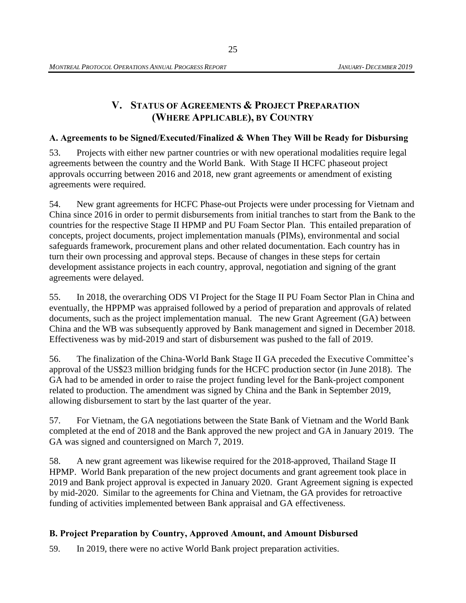# **V. STATUS OF AGREEMENTS & PROJECT PREPARATION (WHERE APPLICABLE), BY COUNTRY**

# <span id="page-37-1"></span><span id="page-37-0"></span>**A. Agreements to be Signed/Executed/Finalized & When They Will be Ready for Disbursing**

53. Projects with either new partner countries or with new operational modalities require legal agreements between the country and the World Bank. With Stage II HCFC phaseout project approvals occurring between 2016 and 2018, new grant agreements or amendment of existing agreements were required.

54. New grant agreements for HCFC Phase-out Projects were under processing for Vietnam and China since 2016 in order to permit disbursements from initial tranches to start from the Bank to the countries for the respective Stage II HPMP and PU Foam Sector Plan. This entailed preparation of concepts, project documents, project implementation manuals (PIMs), environmental and social safeguards framework, procurement plans and other related documentation. Each country has in turn their own processing and approval steps. Because of changes in these steps for certain development assistance projects in each country, approval, negotiation and signing of the grant agreements were delayed.

55. In 2018, the overarching ODS VI Project for the Stage II PU Foam Sector Plan in China and eventually, the HPPMP was appraised followed by a period of preparation and approvals of related documents, such as the project implementation manual. The new Grant Agreement (GA) between China and the WB was subsequently approved by Bank management and signed in December 2018. Effectiveness was by mid-2019 and start of disbursement was pushed to the fall of 2019.

56. The finalization of the China-World Bank Stage II GA preceded the Executive Committee's approval of the US\$23 million bridging funds for the HCFC production sector (in June 2018). The GA had to be amended in order to raise the project funding level for the Bank-project component related to production. The amendment was signed by China and the Bank in September 2019, allowing disbursement to start by the last quarter of the year.

57. For Vietnam, the GA negotiations between the State Bank of Vietnam and the World Bank completed at the end of 2018 and the Bank approved the new project and GA in January 2019. The GA was signed and countersigned on March 7, 2019.

58. A new grant agreement was likewise required for the 2018-approved, Thailand Stage II HPMP. World Bank preparation of the new project documents and grant agreement took place in 2019 and Bank project approval is expected in January 2020. Grant Agreement signing is expected by mid-2020. Similar to the agreements for China and Vietnam, the GA provides for retroactive funding of activities implemented between Bank appraisal and GA effectiveness.

# <span id="page-37-2"></span>**B. Project Preparation by Country, Approved Amount, and Amount Disbursed**

59. In 2019, there were no active World Bank project preparation activities.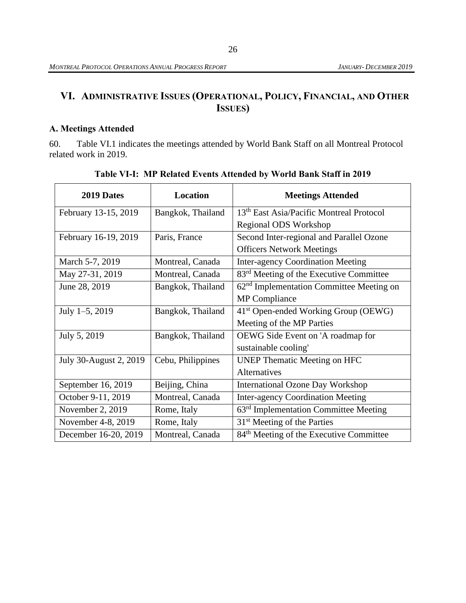# <span id="page-38-0"></span>**VI. ADMINISTRATIVE ISSUES (OPERATIONAL, POLICY, FINANCIAL, AND OTHER ISSUES)**

# <span id="page-38-1"></span>**A. Meetings Attended**

60. Table VI.1 indicates the meetings attended by World Bank Staff on all Montreal Protocol related work in 2019.

<span id="page-38-2"></span>

| 2019 Dates             | <b>Location</b>   | <b>Meetings Attended</b>                             |  |  |  |  |
|------------------------|-------------------|------------------------------------------------------|--|--|--|--|
| February 13-15, 2019   | Bangkok, Thailand | 13 <sup>th</sup> East Asia/Pacific Montreal Protocol |  |  |  |  |
|                        |                   | Regional ODS Workshop                                |  |  |  |  |
| February 16-19, 2019   | Paris, France     | Second Inter-regional and Parallel Ozone             |  |  |  |  |
|                        |                   | <b>Officers Network Meetings</b>                     |  |  |  |  |
| March 5-7, 2019        | Montreal, Canada  | <b>Inter-agency Coordination Meeting</b>             |  |  |  |  |
| May 27-31, 2019        | Montreal, Canada  | 83 <sup>rd</sup> Meeting of the Executive Committee  |  |  |  |  |
| June 28, 2019          | Bangkok, Thailand | 62 <sup>nd</sup> Implementation Committee Meeting on |  |  |  |  |
|                        |                   | <b>MP</b> Compliance                                 |  |  |  |  |
| July $1-5$ , 2019      | Bangkok, Thailand | 41 <sup>st</sup> Open-ended Working Group (OEWG)     |  |  |  |  |
|                        |                   | Meeting of the MP Parties                            |  |  |  |  |
| July 5, 2019           | Bangkok, Thailand | OEWG Side Event on 'A roadmap for                    |  |  |  |  |
|                        |                   | sustainable cooling'                                 |  |  |  |  |
| July 30-August 2, 2019 | Cebu, Philippines | <b>UNEP Thematic Meeting on HFC</b>                  |  |  |  |  |
|                        |                   | <b>Alternatives</b>                                  |  |  |  |  |
| September 16, 2019     | Beijing, China    | <b>International Ozone Day Workshop</b>              |  |  |  |  |
| October 9-11, 2019     | Montreal, Canada  | <b>Inter-agency Coordination Meeting</b>             |  |  |  |  |
| November 2, 2019       | Rome, Italy       | $63rd$ Implementation Committee Meeting              |  |  |  |  |
| November 4-8, 2019     | Rome, Italy       | 31 <sup>st</sup> Meeting of the Parties              |  |  |  |  |
| December 16-20, 2019   | Montreal, Canada  | 84 <sup>th</sup> Meeting of the Executive Committee  |  |  |  |  |

**Table VI-I: MP Related Events Attended by World Bank Staff in 2019**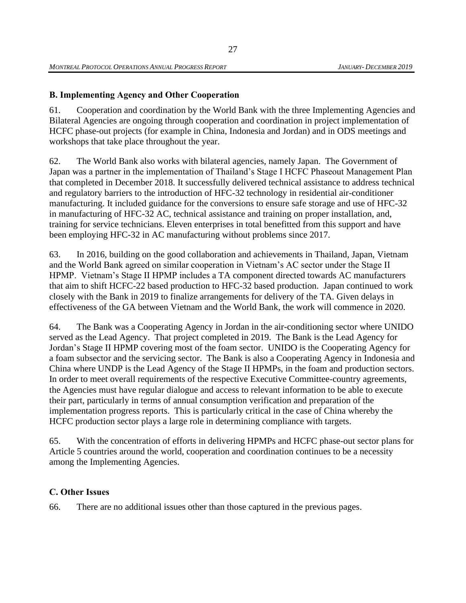# <span id="page-39-0"></span>**B. Implementing Agency and Other Cooperation**

61. Cooperation and coordination by the World Bank with the three Implementing Agencies and Bilateral Agencies are ongoing through cooperation and coordination in project implementation of HCFC phase-out projects (for example in China, Indonesia and Jordan) and in ODS meetings and workshops that take place throughout the year.

62. The World Bank also works with bilateral agencies, namely Japan. The Government of Japan was a partner in the implementation of Thailand's Stage I HCFC Phaseout Management Plan that completed in December 2018. It successfully delivered technical assistance to address technical and regulatory barriers to the introduction of HFC-32 technology in residential air-conditioner manufacturing. It included guidance for the conversions to ensure safe storage and use of HFC-32 in manufacturing of HFC-32 AC, technical assistance and training on proper installation, and, training for service technicians. Eleven enterprises in total benefitted from this support and have been employing HFC-32 in AC manufacturing without problems since 2017.

63. In 2016, building on the good collaboration and achievements in Thailand, Japan, Vietnam and the World Bank agreed on similar cooperation in Vietnam's AC sector under the Stage II HPMP. Vietnam's Stage II HPMP includes a TA component directed towards AC manufacturers that aim to shift HCFC-22 based production to HFC-32 based production. Japan continued to work closely with the Bank in 2019 to finalize arrangements for delivery of the TA. Given delays in effectiveness of the GA between Vietnam and the World Bank, the work will commence in 2020.

64. The Bank was a Cooperating Agency in Jordan in the air-conditioning sector where UNIDO served as the Lead Agency. That project completed in 2019. The Bank is the Lead Agency for Jordan's Stage II HPMP covering most of the foam sector. UNIDO is the Cooperating Agency for a foam subsector and the servicing sector. The Bank is also a Cooperating Agency in Indonesia and China where UNDP is the Lead Agency of the Stage II HPMPs, in the foam and production sectors. In order to meet overall requirements of the respective Executive Committee-country agreements, the Agencies must have regular dialogue and access to relevant information to be able to execute their part, particularly in terms of annual consumption verification and preparation of the implementation progress reports. This is particularly critical in the case of China whereby the HCFC production sector plays a large role in determining compliance with targets.

65. With the concentration of efforts in delivering HPMPs and HCFC phase-out sector plans for Article 5 countries around the world, cooperation and coordination continues to be a necessity among the Implementing Agencies.

## <span id="page-39-1"></span>**C. Other Issues**

66. There are no additional issues other than those captured in the previous pages.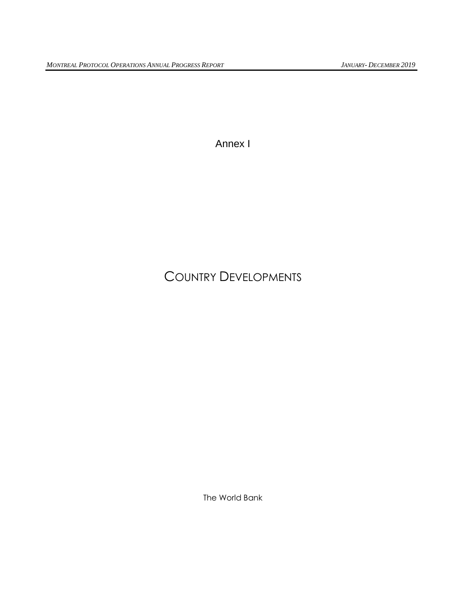Annex I

# COUNTRY DEVELOPMENTS

The World Bank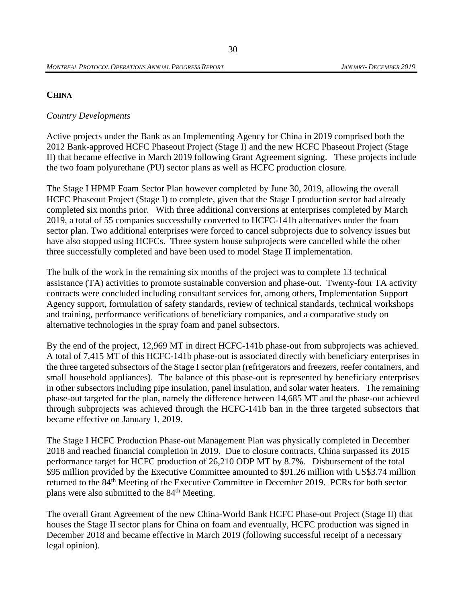#### **CHINA**

### *Country Developments*

Active projects under the Bank as an Implementing Agency for China in 2019 comprised both the 2012 Bank-approved HCFC Phaseout Project (Stage I) and the new HCFC Phaseout Project (Stage II) that became effective in March 2019 following Grant Agreement signing. These projects include the two foam polyurethane (PU) sector plans as well as HCFC production closure.

The Stage I HPMP Foam Sector Plan however completed by June 30, 2019, allowing the overall HCFC Phaseout Project (Stage I) to complete, given that the Stage I production sector had already completed six months prior. With three additional conversions at enterprises completed by March 2019, a total of 55 companies successfully converted to HCFC-141b alternatives under the foam sector plan. Two additional enterprises were forced to cancel subprojects due to solvency issues but have also stopped using HCFCs. Three system house subprojects were cancelled while the other three successfully completed and have been used to model Stage II implementation.

The bulk of the work in the remaining six months of the project was to complete 13 technical assistance (TA) activities to promote sustainable conversion and phase-out. Twenty-four TA activity contracts were concluded including consultant services for, among others, Implementation Support Agency support, formulation of safety standards, review of technical standards, technical workshops and training, performance verifications of beneficiary companies, and a comparative study on alternative technologies in the spray foam and panel subsectors.

By the end of the project, 12,969 MT in direct HCFC-141b phase-out from subprojects was achieved. A total of 7,415 MT of this HCFC-141b phase-out is associated directly with beneficiary enterprises in the three targeted subsectors of the Stage I sector plan (refrigerators and freezers, reefer containers, and small household appliances). The balance of this phase-out is represented by beneficiary enterprises in other subsectors including pipe insulation, panel insulation, and solar water heaters. The remaining phase-out targeted for the plan, namely the difference between 14,685 MT and the phase-out achieved through subprojects was achieved through the HCFC-141b ban in the three targeted subsectors that became effective on January 1, 2019.

The Stage I HCFC Production Phase-out Management Plan was physically completed in December 2018 and reached financial completion in 2019. Due to closure contracts, China surpassed its 2015 performance target for HCFC production of 26,210 ODP MT by 8.7%. Disbursement of the total \$95 million provided by the Executive Committee amounted to \$91.26 million with US\$3.74 million returned to the 84<sup>th</sup> Meeting of the Executive Committee in December 2019. PCRs for both sector plans were also submitted to the 84<sup>th</sup> Meeting.

The overall Grant Agreement of the new China-World Bank HCFC Phase-out Project (Stage II) that houses the Stage II sector plans for China on foam and eventually, HCFC production was signed in December 2018 and became effective in March 2019 (following successful receipt of a necessary legal opinion).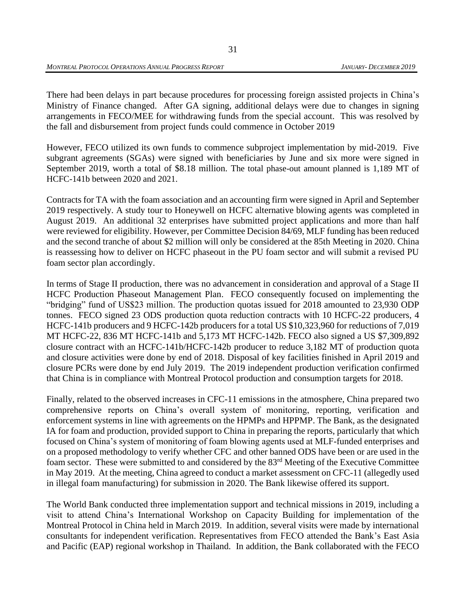There had been delays in part because procedures for processing foreign assisted projects in China's Ministry of Finance changed. After GA signing, additional delays were due to changes in signing arrangements in FECO/MEE for withdrawing funds from the special account. This was resolved by the fall and disbursement from project funds could commence in October 2019

However, FECO utilized its own funds to commence subproject implementation by mid-2019. Five subgrant agreements (SGAs) were signed with beneficiaries by June and six more were signed in September 2019, worth a total of \$8.18 million. The total phase-out amount planned is 1,189 MT of HCFC-141b between 2020 and 2021.

Contracts for TA with the foam association and an accounting firm were signed in April and September 2019 respectively. A study tour to Honeywell on HCFC alternative blowing agents was completed in August 2019. An additional 32 enterprises have submitted project applications and more than half were reviewed for eligibility. However, per Committee Decision 84/69, MLF funding has been reduced and the second tranche of about \$2 million will only be considered at the 85th Meeting in 2020. China is reassessing how to deliver on HCFC phaseout in the PU foam sector and will submit a revised PU foam sector plan accordingly.

In terms of Stage II production, there was no advancement in consideration and approval of a Stage II HCFC Production Phaseout Management Plan. FECO consequently focused on implementing the "bridging" fund of US\$23 million. The production quotas issued for 2018 amounted to 23,930 ODP tonnes. FECO signed 23 ODS production quota reduction contracts with 10 HCFC-22 producers, 4 HCFC-141b producers and 9 HCFC-142b producers for a total US \$10,323,960 for reductions of 7,019 MT HCFC-22, 836 MT HCFC-141b and 5,173 MT HCFC-142b. FECO also signed a US \$7,309,892 closure contract with an HCFC-141b/HCFC-142b producer to reduce 3,182 MT of production quota and closure activities were done by end of 2018. Disposal of key facilities finished in April 2019 and closure PCRs were done by end July 2019. The 2019 independent production verification confirmed that China is in compliance with Montreal Protocol production and consumption targets for 2018.

Finally, related to the observed increases in CFC-11 emissions in the atmosphere, China prepared two comprehensive reports on China's overall system of monitoring, reporting, verification and enforcement systems in line with agreements on the HPMPs and HPPMP. The Bank, as the designated IA for foam and production, provided support to China in preparing the reports, particularly that which focused on China's system of monitoring of foam blowing agents used at MLF-funded enterprises and on a proposed methodology to verify whether CFC and other banned ODS have been or are used in the foam sector. These were submitted to and considered by the 83<sup>rd</sup> Meeting of the Executive Committee in May 2019. At the meeting, China agreed to conduct a market assessment on CFC-11 (allegedly used in illegal foam manufacturing) for submission in 2020. The Bank likewise offered its support.

The World Bank conducted three implementation support and technical missions in 2019, including a visit to attend China's International Workshop on Capacity Building for implementation of the Montreal Protocol in China held in March 2019. In addition, several visits were made by international consultants for independent verification. Representatives from FECO attended the Bank's East Asia and Pacific (EAP) regional workshop in Thailand. In addition, the Bank collaborated with the FECO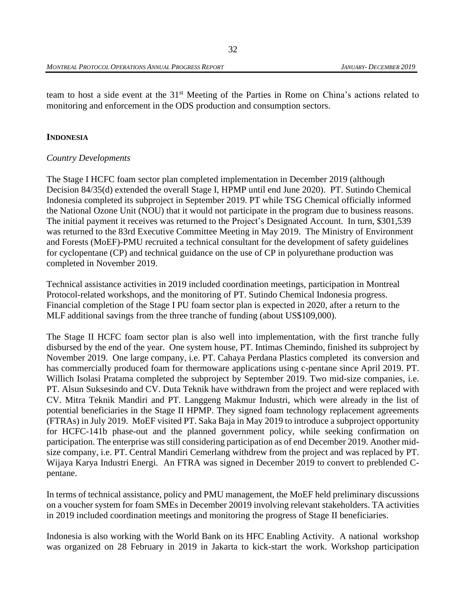team to host a side event at the 31st Meeting of the Parties in Rome on China's actions related to monitoring and enforcement in the ODS production and consumption sectors.

#### **INDONESIA**

#### *Country Developments*

The Stage I HCFC foam sector plan completed implementation in December 2019 (although Decision 84/35(d) extended the overall Stage I, HPMP until end June 2020). PT. Sutindo Chemical Indonesia completed its subproject in September 2019. PT while TSG Chemical officially informed the National Ozone Unit (NOU) that it would not participate in the program due to business reasons. The initial payment it receives was returned to the Project's Designated Account. In turn, \$301,539 was returned to the 83rd Executive Committee Meeting in May 2019. The Ministry of Environment and Forests (MoEF)-PMU recruited a technical consultant for the development of safety guidelines for cyclopentane (CP) and technical guidance on the use of CP in polyurethane production was completed in November 2019.

Technical assistance activities in 2019 included coordination meetings, participation in Montreal Protocol-related workshops, and the monitoring of PT. Sutindo Chemical Indonesia progress. Financial completion of the Stage I PU foam sector plan is expected in 2020, after a return to the MLF additional savings from the three tranche of funding (about US\$109,000).

The Stage II HCFC foam sector plan is also well into implementation, with the first tranche fully disbursed by the end of the year. One system house, PT. Intimas Chemindo, finished its subproject by November 2019. One large company, i.e. PT. Cahaya Perdana Plastics completed its conversion and has commercially produced foam for thermoware applications using c-pentane since April 2019. PT. Willich Isolasi Pratama completed the subproject by September 2019. Two mid-size companies, i.e. PT. Alsun Suksesindo and CV. Duta Teknik have withdrawn from the project and were replaced with CV. Mitra Teknik Mandiri and PT. Langgeng Makmur Industri, which were already in the list of potential beneficiaries in the Stage II HPMP. They signed foam technology replacement agreements (FTRAs) in July 2019. MoEF visited PT. Saka Baja in May 2019 to introduce a subproject opportunity for HCFC-141b phase-out and the planned government policy, while seeking confirmation on participation. The enterprise was still considering participation as of end December 2019. Another midsize company, i.e. PT. Central Mandiri Cemerlang withdrew from the project and was replaced by PT. Wijaya Karya Industri Energi. An FTRA was signed in December 2019 to convert to preblended Cpentane.

In terms of technical assistance, policy and PMU management, the MoEF held preliminary discussions on a voucher system for foam SMEs in December 20019 involving relevant stakeholders. TA activities in 2019 included coordination meetings and monitoring the progress of Stage II beneficiaries.

Indonesia is also working with the World Bank on its HFC Enabling Activity. A national workshop was organized on 28 February in 2019 in Jakarta to kick-start the work. Workshop participation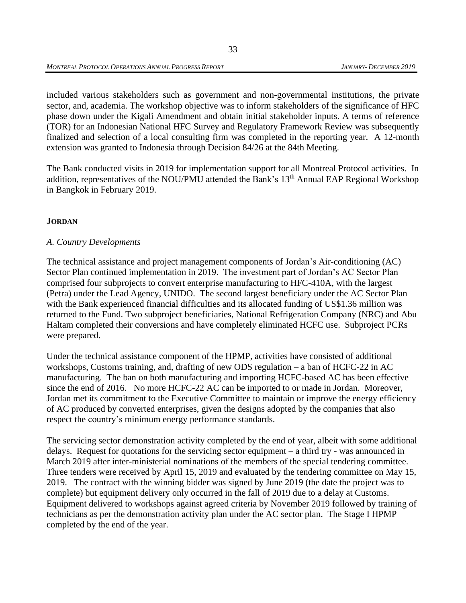included various stakeholders such as government and non-governmental institutions, the private sector, and, academia. The workshop objective was to inform stakeholders of the significance of HFC phase down under the Kigali Amendment and obtain initial stakeholder inputs. A terms of reference (TOR) for an Indonesian National HFC Survey and Regulatory Framework Review was subsequently finalized and selection of a local consulting firm was completed in the reporting year. A 12-month extension was granted to Indonesia through Decision 84/26 at the 84th Meeting.

The Bank conducted visits in 2019 for implementation support for all Montreal Protocol activities. In addition, representatives of the NOU/PMU attended the Bank's 13<sup>th</sup> Annual EAP Regional Workshop in Bangkok in February 2019.

# **JORDAN**

## *A. Country Developments*

The technical assistance and project management components of Jordan's Air-conditioning (AC) Sector Plan continued implementation in 2019. The investment part of Jordan's AC Sector Plan comprised four subprojects to convert enterprise manufacturing to HFC-410A, with the largest (Petra) under the Lead Agency, UNIDO. The second largest beneficiary under the AC Sector Plan with the Bank experienced financial difficulties and its allocated funding of US\$1.36 million was returned to the Fund. Two subproject beneficiaries, National Refrigeration Company (NRC) and Abu Haltam completed their conversions and have completely eliminated HCFC use. Subproject PCRs were prepared.

Under the technical assistance component of the HPMP, activities have consisted of additional workshops, Customs training, and, drafting of new ODS regulation – a ban of HCFC-22 in AC manufacturing. The ban on both manufacturing and importing HCFC-based AC has been effective since the end of 2016. No more HCFC-22 AC can be imported to or made in Jordan. Moreover, Jordan met its commitment to the Executive Committee to maintain or improve the energy efficiency of AC produced by converted enterprises, given the designs adopted by the companies that also respect the country's minimum energy performance standards.

The servicing sector demonstration activity completed by the end of year, albeit with some additional delays. Request for quotations for the servicing sector equipment – a third try - was announced in March 2019 after inter-ministerial nominations of the members of the special tendering committee. Three tenders were received by April 15, 2019 and evaluated by the tendering committee on May 15, 2019. The contract with the winning bidder was signed by June 2019 (the date the project was to complete) but equipment delivery only occurred in the fall of 2019 due to a delay at Customs. Equipment delivered to workshops against agreed criteria by November 2019 followed by training of technicians as per the demonstration activity plan under the AC sector plan. The Stage I HPMP completed by the end of the year.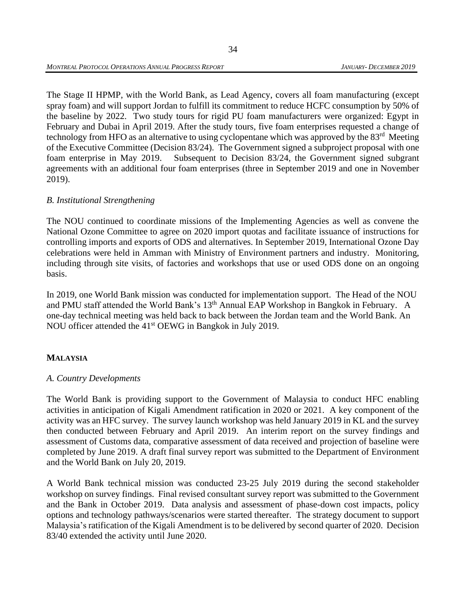The Stage II HPMP, with the World Bank, as Lead Agency, covers all foam manufacturing (except spray foam) and will support Jordan to fulfill its commitment to reduce HCFC consumption by 50% of the baseline by 2022. Two study tours for rigid PU foam manufacturers were organized: Egypt in February and Dubai in April 2019. After the study tours, five foam enterprises requested a change of technology from HFO as an alternative to using cyclopentane which was approved by the 83<sup>rd</sup> Meeting of the Executive Committee (Decision 83/24). The Government signed a subproject proposal with one foam enterprise in May 2019. Subsequent to Decision 83/24, the Government signed subgrant agreements with an additional four foam enterprises (three in September 2019 and one in November 2019).

### *B. Institutional Strengthening*

The NOU continued to coordinate missions of the Implementing Agencies as well as convene the National Ozone Committee to agree on 2020 import quotas and facilitate issuance of instructions for controlling imports and exports of ODS and alternatives. In September 2019, International Ozone Day celebrations were held in Amman with Ministry of Environment partners and industry. Monitoring, including through site visits, of factories and workshops that use or used ODS done on an ongoing basis.

In 2019, one World Bank mission was conducted for implementation support. The Head of the NOU and PMU staff attended the World Bank's  $13<sup>th</sup>$  Annual EAP Workshop in Bangkok in February. A one-day technical meeting was held back to back between the Jordan team and the World Bank. An NOU officer attended the 41<sup>st</sup> OEWG in Bangkok in July 2019.

## **MALAYSIA**

## *A. Country Developments*

The World Bank is providing support to the Government of Malaysia to conduct HFC enabling activities in anticipation of Kigali Amendment ratification in 2020 or 2021. A key component of the activity was an HFC survey. The survey launch workshop was held January 2019 in KL and the survey then conducted between February and April 2019. An interim report on the survey findings and assessment of Customs data, comparative assessment of data received and projection of baseline were completed by June 2019. A draft final survey report was submitted to the Department of Environment and the World Bank on July 20, 2019.

A World Bank technical mission was conducted 23-25 July 2019 during the second stakeholder workshop on survey findings. Final revised consultant survey report was submitted to the Government and the Bank in October 2019. Data analysis and assessment of phase-down cost impacts, policy options and technology pathways/scenarios were started thereafter. The strategy document to support Malaysia's ratification of the Kigali Amendment is to be delivered by second quarter of 2020. Decision 83/40 extended the activity until June 2020.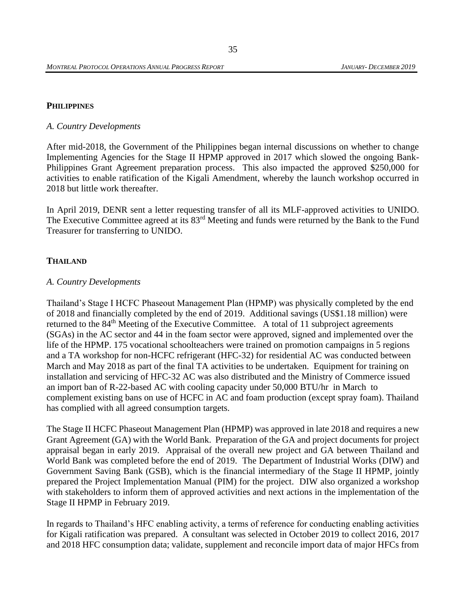#### **PHILIPPINES**

#### *A. Country Developments*

After mid-2018, the Government of the Philippines began internal discussions on whether to change Implementing Agencies for the Stage II HPMP approved in 2017 which slowed the ongoing Bank-Philippines Grant Agreement preparation process. This also impacted the approved \$250,000 for activities to enable ratification of the Kigali Amendment, whereby the launch workshop occurred in 2018 but little work thereafter.

In April 2019, DENR sent a letter requesting transfer of all its MLF-approved activities to UNIDO. The Executive Committee agreed at its 83<sup>rd</sup> Meeting and funds were returned by the Bank to the Fund Treasurer for transferring to UNIDO.

#### **THAILAND**

#### *A. Country Developments*

Thailand's Stage I HCFC Phaseout Management Plan (HPMP) was physically completed by the end of 2018 and financially completed by the end of 2019. Additional savings (US\$1.18 million) were returned to the  $84<sup>th</sup>$  Meeting of the Executive Committee. A total of 11 subproject agreements (SGAs) in the AC sector and 44 in the foam sector were approved, signed and implemented over the life of the HPMP. 175 vocational schoolteachers were trained on promotion campaigns in 5 regions and a TA workshop for non-HCFC refrigerant (HFC-32) for residential AC was conducted between March and May 2018 as part of the final TA activities to be undertaken. Equipment for training on installation and servicing of HFC-32 AC was also distributed and the Ministry of Commerce issued an import ban of R-22-based AC with cooling capacity under 50,000 BTU/hr in March to complement existing bans on use of HCFC in AC and foam production (except spray foam). Thailand has complied with all agreed consumption targets.

The Stage II HCFC Phaseout Management Plan (HPMP) was approved in late 2018 and requires a new Grant Agreement (GA) with the World Bank. Preparation of the GA and project documents for project appraisal began in early 2019. Appraisal of the overall new project and GA between Thailand and World Bank was completed before the end of 2019. The Department of Industrial Works (DIW) and Government Saving Bank (GSB), which is the financial intermediary of the Stage II HPMP, jointly prepared the Project Implementation Manual (PIM) for the project. DIW also organized a workshop with stakeholders to inform them of approved activities and next actions in the implementation of the Stage II HPMP in February 2019.

In regards to Thailand's HFC enabling activity, a terms of reference for conducting enabling activities for Kigali ratification was prepared. A consultant was selected in October 2019 to collect 2016, 2017 and 2018 HFC consumption data; validate, supplement and reconcile import data of major HFCs from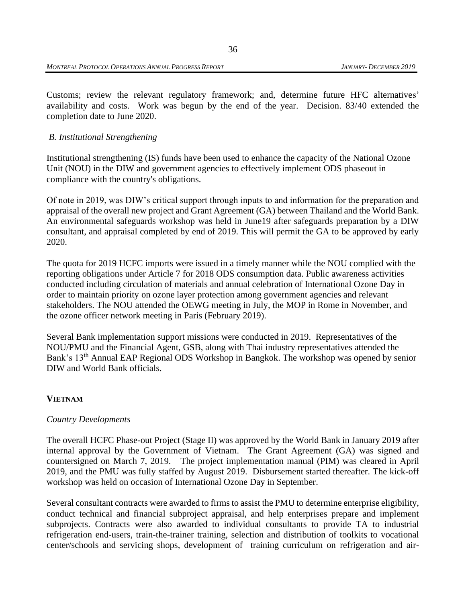Customs; review the relevant regulatory framework; and, determine future HFC alternatives' availability and costs. Work was begun by the end of the year. Decision. 83/40 extended the completion date to June 2020.

### *B. Institutional Strengthening*

Institutional strengthening (IS) funds have been used to enhance the capacity of the National Ozone Unit (NOU) in the DIW and government agencies to effectively implement ODS phaseout in compliance with the country's obligations.

Of note in 2019, was DIW's critical support through inputs to and information for the preparation and appraisal of the overall new project and Grant Agreement (GA) between Thailand and the World Bank. An environmental safeguards workshop was held in June19 after safeguards preparation by a DIW consultant, and appraisal completed by end of 2019. This will permit the GA to be approved by early 2020.

The quota for 2019 HCFC imports were issued in a timely manner while the NOU complied with the reporting obligations under Article 7 for 2018 ODS consumption data. Public awareness activities conducted including circulation of materials and annual celebration of International Ozone Day in order to maintain priority on ozone layer protection among government agencies and relevant stakeholders. The NOU attended the OEWG meeting in July, the MOP in Rome in November, and the ozone officer network meeting in Paris (February 2019).

Several Bank implementation support missions were conducted in 2019. Representatives of the NOU/PMU and the Financial Agent, GSB, along with Thai industry representatives attended the Bank's 13<sup>th</sup> Annual EAP Regional ODS Workshop in Bangkok. The workshop was opened by senior DIW and World Bank officials.

#### **VIETNAM**

#### *Country Developments*

The overall HCFC Phase-out Project (Stage II) was approved by the World Bank in January 2019 after internal approval by the Government of Vietnam. The Grant Agreement (GA) was signed and countersigned on March 7, 2019. The project implementation manual (PIM) was cleared in April 2019, and the PMU was fully staffed by August 2019. Disbursement started thereafter. The kick-off workshop was held on occasion of International Ozone Day in September.

Several consultant contracts were awarded to firms to assist the PMU to determine enterprise eligibility, conduct technical and financial subproject appraisal, and help enterprises prepare and implement subprojects. Contracts were also awarded to individual consultants to provide TA to industrial refrigeration end-users, train-the-trainer training, selection and distribution of toolkits to vocational center/schools and servicing shops, development of training curriculum on refrigeration and air